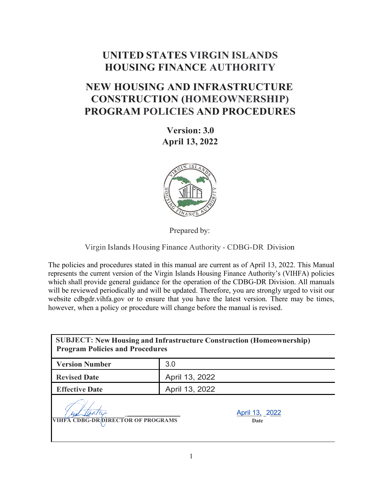# **UNITED STATES VIRGIN ISLANDS HOUSING FINANCE AUTHORITY**

# **NEW HOUSING AND INFRASTRUCTURE CONSTRUCTION (HOMEOWNERSHIP) PROGRAM POLICIES AND PROCEDURES**

**Version: 3.0 April 13, 2022**



Prepared by:

Virgin Islands Housing Finance Authority - CDBG-DR Division

The policies and procedures stated in this manual are current as of April 13, 2022. This Manual represents the current version of the Virgin Islands Housing Finance Authority's (VIHFA) policies which shall provide general guidance for the operation of the CDBG-DR Division. All manuals will be reviewed periodically and will be updated. Therefore, you are strongly urged to visit our website [cdbgdr.vihfa.gov o](http://www.vihfa.gov/cdbg-dr)r to ensure that you have the latest version. There may be times, however, when a policy or procedure will change before the manual is revised.

| <b>SUBJECT: New Housing and Infrastructure Construction (Homeownership)</b><br><b>Program Policies and Procedures</b> |                        |  |
|-----------------------------------------------------------------------------------------------------------------------|------------------------|--|
| <b>Version Number</b>                                                                                                 | 3.0                    |  |
| <b>Revised Date</b>                                                                                                   | April 13, 2022         |  |
| <b>Effective Date</b>                                                                                                 | April 13, 2022         |  |
| <b>VIHFA CDBG-DR DIRECTOR OF PROGRAMS</b>                                                                             | April 13, 2022<br>Date |  |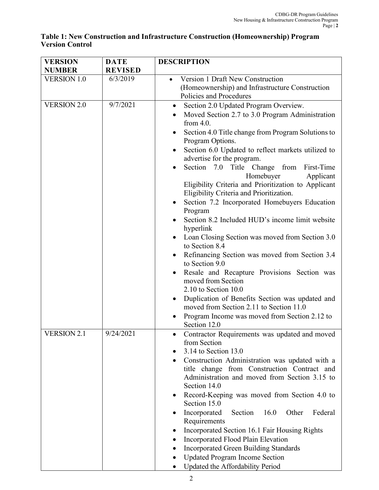#### **Table 1: New Construction and Infrastructure Construction (Homeownership) Program Version Control**

| <b>VERSION</b>     | <b>DATE</b>    | <b>DESCRIPTION</b>                                                                            |  |
|--------------------|----------------|-----------------------------------------------------------------------------------------------|--|
| <b>NUMBER</b>      | <b>REVISED</b> |                                                                                               |  |
| <b>VERSION 1.0</b> | 6/3/2019       | Version 1 Draft New Construction                                                              |  |
|                    |                | (Homeownership) and Infrastructure Construction                                               |  |
|                    |                | Policies and Procedures                                                                       |  |
| <b>VERSION 2.0</b> | 9/7/2021       | Section 2.0 Updated Program Overview.                                                         |  |
|                    |                | Moved Section 2.7 to 3.0 Program Administration                                               |  |
|                    |                | from $4.0$ .                                                                                  |  |
|                    |                | Section 4.0 Title change from Program Solutions to<br>Program Options.                        |  |
|                    |                | Section 6.0 Updated to reflect markets utilized to                                            |  |
|                    |                | advertise for the program.                                                                    |  |
|                    |                | Section 7.0 Title Change from<br>First-Time<br>Homebuyer<br>Applicant                         |  |
|                    |                | Eligibility Criteria and Prioritization to Applicant                                          |  |
|                    |                | Eligibility Criteria and Prioritization.                                                      |  |
|                    |                | Section 7.2 Incorporated Homebuyers Education<br>Program                                      |  |
|                    |                | Section 8.2 Included HUD's income limit website                                               |  |
|                    |                | hyperlink                                                                                     |  |
|                    |                | Loan Closing Section was moved from Section 3.0<br>to Section 8.4                             |  |
|                    |                | Refinancing Section was moved from Section 3.4                                                |  |
|                    |                | to Section 9.0                                                                                |  |
|                    |                | Resale and Recapture Provisions Section was                                                   |  |
|                    |                | moved from Section                                                                            |  |
|                    |                | $2.10$ to Section 10.0                                                                        |  |
|                    |                | Duplication of Benefits Section was updated and<br>moved from Section 2.11 to Section 11.0    |  |
|                    |                | Program Income was moved from Section 2.12 to                                                 |  |
|                    |                | Section 12.0                                                                                  |  |
| <b>VERSION 2.1</b> | 9/24/2021      | Contractor Requirements was updated and moved                                                 |  |
|                    |                | from Section                                                                                  |  |
|                    |                | 3.14 to Section 13.0                                                                          |  |
|                    |                | Construction Administration was updated with a<br>title change from Construction Contract and |  |
|                    |                | Administration and moved from Section 3.15 to                                                 |  |
|                    |                | Section 14.0                                                                                  |  |
|                    |                | Record-Keeping was moved from Section 4.0 to                                                  |  |
|                    |                | Section 15.0                                                                                  |  |
|                    |                | Incorporated<br>Section<br>16.0<br>Other<br>Federal<br>Requirements                           |  |
|                    |                | Incorporated Section 16.1 Fair Housing Rights                                                 |  |
|                    |                | Incorporated Flood Plain Elevation                                                            |  |
|                    |                | <b>Incorporated Green Building Standards</b>                                                  |  |
|                    |                | <b>Updated Program Income Section</b>                                                         |  |
|                    |                | Updated the Affordability Period                                                              |  |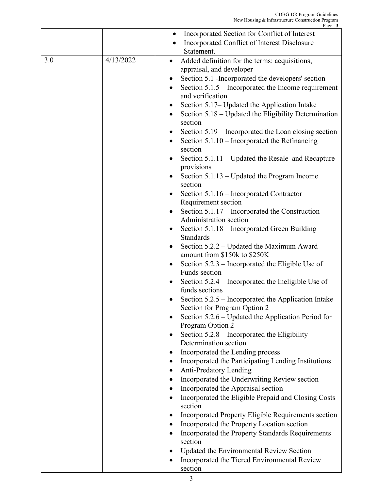|     |           | Page $\vert 3$                                                                      |
|-----|-----------|-------------------------------------------------------------------------------------|
|     |           | Incorporated Section for Conflict of Interest<br>$\bullet$                          |
|     |           | Incorporated Conflict of Interest Disclosure                                        |
|     |           | Statement.                                                                          |
| 3.0 | 4/13/2022 | Added definition for the terms: acquisitions,<br>$\bullet$                          |
|     |           | appraisal, and developer                                                            |
|     |           | Section 5.1 -Incorporated the developers' section                                   |
|     |           | Section $5.1.5$ – Incorporated the Income requirement                               |
|     |           | and verification                                                                    |
|     |           | Section 5.17– Updated the Application Intake                                        |
|     |           | Section 5.18 - Updated the Eligibility Determination<br>$\bullet$                   |
|     |           | section                                                                             |
|     |           | Section 5.19 – Incorporated the Loan closing section                                |
|     |           | Section $5.1.10$ – Incorporated the Refinancing<br>section                          |
|     |           | Section 5.1.11 – Updated the Resale and Recapture<br>provisions                     |
|     |           | Section $5.1.13$ – Updated the Program Income                                       |
|     |           | section                                                                             |
|     |           | Section 5.1.16 – Incorporated Contractor<br>$\bullet$                               |
|     |           | Requirement section<br>Section 5.1.17 – Incorporated the Construction               |
|     |           | Administration section                                                              |
|     |           | Section 5.1.18 – Incorporated Green Building                                        |
|     |           | Standards                                                                           |
|     |           | Section 5.2.2 – Updated the Maximum Award                                           |
|     |           | amount from \$150k to \$250K                                                        |
|     |           | Section 5.2.3 – Incorporated the Eligible Use of<br>$\bullet$                       |
|     |           | Funds section                                                                       |
|     |           | Section 5.2.4 – Incorporated the Ineligible Use of<br>$\bullet$                     |
|     |           | funds sections                                                                      |
|     |           | Section 5.2.5 - Incorporated the Application Intake<br>Section for Program Option 2 |
|     |           | Section 5.2.6 – Updated the Application Period for<br>$\bullet$                     |
|     |           | Program Option 2                                                                    |
|     |           | Section $5.2.8$ – Incorporated the Eligibility<br>٠                                 |
|     |           | Determination section                                                               |
|     |           | Incorporated the Lending process                                                    |
|     |           | Incorporated the Participating Lending Institutions                                 |
|     |           | <b>Anti-Predatory Lending</b>                                                       |
|     |           | Incorporated the Underwriting Review section                                        |
|     |           | Incorporated the Appraisal section                                                  |
|     |           | Incorporated the Eligible Prepaid and Closing Costs                                 |
|     |           | section                                                                             |
|     |           | Incorporated Property Eligible Requirements section                                 |
|     |           | Incorporated the Property Location section                                          |
|     |           | Incorporated the Property Standards Requirements<br>section                         |
|     |           | Updated the Environmental Review Section                                            |
|     |           | Incorporated the Tiered Environmental Review                                        |
|     |           | section                                                                             |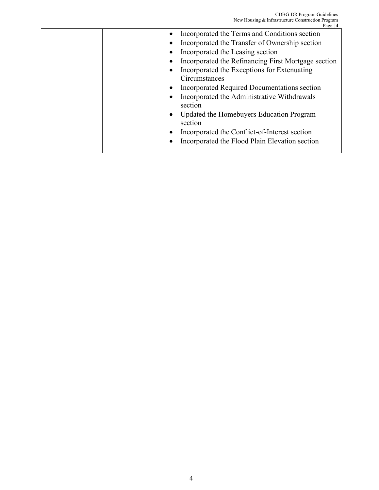| Incorporated the Refinancing First Mortgage section |
|-----------------------------------------------------|
|                                                     |
|                                                     |
|                                                     |
|                                                     |
|                                                     |
|                                                     |
|                                                     |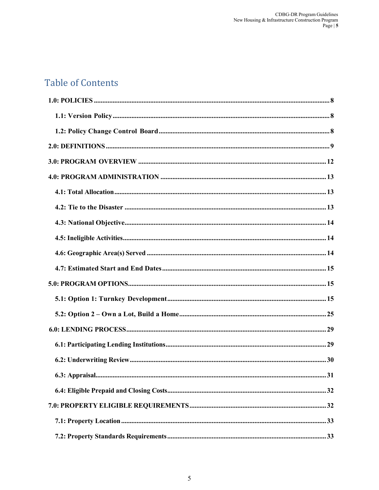# **Table of Contents**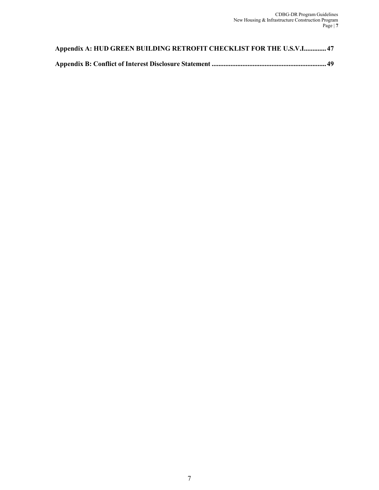| Appendix A: HUD GREEN BUILDING RETROFIT CHECKLIST FOR THE U.S.V.I 47 |
|----------------------------------------------------------------------|
|                                                                      |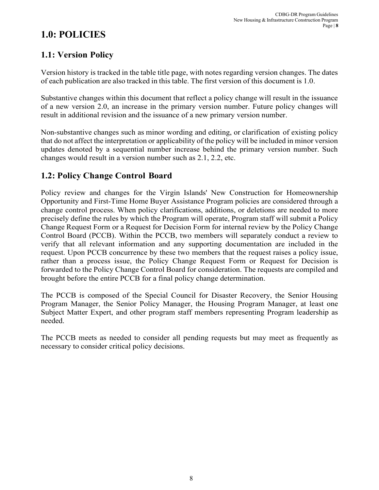# <span id="page-7-0"></span>**1.0: POLICIES**

## <span id="page-7-1"></span>**1.1: Version Policy**

Version history is tracked in the table title page, with notes regarding version changes. The dates of each publication are also tracked in this table. The first version of this document is 1.0.

Substantive changes within this document that reflect a policy change will result in the issuance of a new version 2.0, an increase in the primary version number. Future policy changes will result in additional revision and the issuance of a new primary version number.

Non-substantive changes such as minor wording and editing, or clarification of existing policy that do not affect the interpretation or applicability of the policy will be included in minor version updates denoted by a sequential number increase behind the primary version number. Such changes would result in a version number such as 2.1, 2.2, etc.

## <span id="page-7-2"></span>**1.2: Policy Change Control Board**

Policy review and changes for the Virgin Islands' New Construction for Homeownership Opportunity and First-Time Home Buyer Assistance Program policies are considered through a change control process. When policy clarifications, additions, or deletions are needed to more precisely define the rules by which the Program will operate, Program staff will submit a Policy Change Request Form or a Request for Decision Form for internal review by the Policy Change Control Board (PCCB). Within the PCCB, two members will separately conduct a review to verify that all relevant information and any supporting documentation are included in the request. Upon PCCB concurrence by these two members that the request raises a policy issue, rather than a process issue, the Policy Change Request Form or Request for Decision is forwarded to the Policy Change Control Board for consideration. The requests are compiled and brought before the entire PCCB for a final policy change determination.

The PCCB is composed of the Special Council for Disaster Recovery, the Senior Housing Program Manager, the Senior Policy Manager, the Housing Program Manager, at least one Subject Matter Expert, and other program staff members representing Program leadership as needed.

The PCCB meets as needed to consider all pending requests but may meet as frequently as necessary to consider critical policy decisions.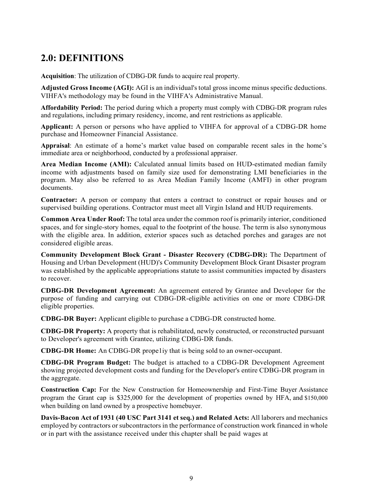# <span id="page-8-0"></span>**2.0: DEFINITIONS**

**Acquisition**: The utilization of CDBG-DR funds to acquire real property.

**Adjusted Gross Income (AGI):** AGI is an individual's total gross income minus specific deductions. VIHFA's methodology may be found in the VIHFA's Administrative Manual.

**Affordability Period:** The period during which a property must comply with CDBG-DR program rules and regulations, including primary residency, income, and rent restrictions as applicable.

**Applicant:** A person or persons who have applied to VIHFA for approval of a CDBG-DR home purchase and Homeowner Financial Assistance.

**Appraisal**: An estimate of a home's market value based on comparable recent sales in the home's immediate area or neighborhood, conducted by a professional appraiser.

**Area Median Income (AMI):** Calculated annual limits based on HUD-estimated median family income with adjustments based on family size used for demonstrating LMI beneficiaries in the program. May also be referred to as Area Median Family Income (AMFI) in other program documents.

**Contractor:** A person or company that enters a contract to construct or repair houses and or supervised building operations. Contractor must meet all Virgin Island and HUD requirements.

**Common Area Under Roof:** The total area under the common roof is primarily interior, conditioned spaces, and for single-story homes, equal to the footprint of the house. The term is also synonymous with the eligible area. In addition, exterior spaces such as detached porches and garages are not considered eligible areas.

**Community Development Block Grant - Disaster Recovery (CDBG-DR):** The Department of Housing and Urban Development (HUD)'s Community Development Block Grant Disaster program was established by the applicable appropriations statute to assist communities impacted by disasters to recover.

**CDBG-DR Development Agreement:** An agreement entered by Grantee and Developer for the purpose of funding and carrying out CDBG-DR-eligible activities on one or more CDBG-DR eligible properties.

**CDBG-DR Buyer:** Applicant eligible to purchase a CDBG-DR constructed home.

**CDBG-DR Property:** A property that is rehabilitated, newly constructed, or reconstructed pursuant to Developer's agreement with Grantee, utilizing CDBG-DR funds.

**CDBG-DR Home:** An CDBG-DR prope1iy that is being sold to an owner-occupant.

**CDBG-DR Program Budget:** The budget is attached to a CDBG-DR Development Agreement showing projected development costs and funding for the Developer's entire CDBG-DR program in the aggregate.

**Construction Cap:** For the New Construction for Homeownership and First-Time Buyer Assistance program the Grant cap is \$325,000 for the development of properties owned by HFA, and \$150,000 when building on land owned by a prospective homebuyer.

**Davis-Bacon Act of 1931 (40 USC Part 3141 et seq.) and Related Acts:** All laborers and mechanics employed by contractors or subcontractors in the performance of construction work financed in whole or in part with the assistance received under this chapter shall be paid wages at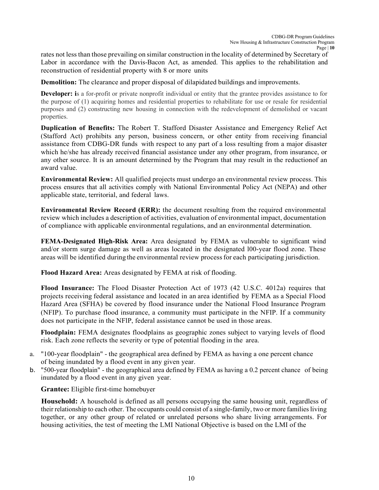rates not less than those prevailing on similar construction in the locality of determined by Secretary of Labor in accordance with the Davis-Bacon Act, as amended. This applies to the rehabilitation and reconstruction of residential property with 8 or more units

**Demolition:** The clearance and proper disposal of dilapidated buildings and improvements.

**Developer:** is a for-profit or private nonprofit individual or entity that the grantee provides assistance to for the purpose of (1) acquiring homes and residential properties to rehabilitate for use or resale for residential purposes and (2) constructing new housing in connection with the redevelopment of demolished or vacant properties.

**Duplication of Benefits:** The Robert T. Stafford Disaster Assistance and Emergency Relief Act (Stafford Act) prohibits any person, business concern, or other entity from receiving financial assistance from CDBG-DR funds with respect to any part of a loss resulting from a major disaster which he/she has already received financial assistance under any other program, from insurance, or any other source. It is an amount determined by the Program that may result in the reductionof an award value.

**Environmental Review:** All qualified projects must undergo an environmental review process. This process ensures that all activities comply with National Environmental Policy Act (NEPA) and other applicable state, territorial, and federal laws.

**Environmental Review Record (ERR):** the document resulting from the required environmental review which includes a description of activities, evaluation of environmental impact, documentation of compliance with applicable environmental regulations, and an environmental determination.

**FEMA-Designated High-Risk Area:** Area designated by FEMA as vulnerable to significant wind and/or storm surge damage as well as areas located in the designated l00-year flood zone. These areas will be identified during the environmental review processfor each participating jurisdiction.

**Flood Hazard Area:** Areas designated by FEMA at risk of flooding.

**Flood Insurance:** The Flood Disaster Protection Act of 1973 (42 U.S.C. 4012a) requires that projects receiving federal assistance and located in an area identified by FEMA as a Special Flood Hazard Area (SFHA) be covered by flood insurance under the National Flood Insurance Program (NFIP). To purchase flood insurance, a community must participate in the NFIP. If a community does not participate in the NFlP, federal assistance cannot be used in those areas.

**Floodplain:** FEMA designates floodplains as geographic zones subject to varying levels of flood risk. Each zone reflects the severity or type of potential flooding in the area.

- a. "100-year floodplain" the geographical area defined by FEMA as having a one percent chance of being inundated by a flood event in any given year.
- b. "500-year floodplain" the geographical area defined by FEMA as having a 0.2 percent chance of being inundated by a flood event in any given year.

**Grantee:** Eligible first-time homebuyer

**Household:** A household is defined as all persons occupying the same housing unit, regardless of their relationship to each other. The occupants could consist of a single-family, two or more families living together, or any other group of related or unrelated persons who share living arrangements. For housing activities, the test of meeting the LMI National Objective is based on the LMI of the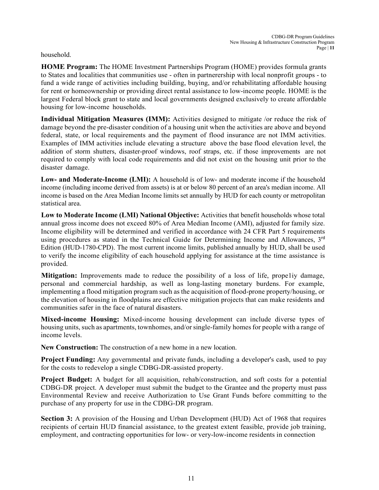#### household.

**HOME Program:** The HOME Investment Partnerships Program (HOME) provides formula grants to States and localities that communities use - often in partnerership with local nonprofit groups - to fund a wide range of activities including building, buying, and/or rehabilitating affordable housing for rent or homeownership or providing direct rental assistance to low-income people. HOME is the largest Federal block grant to state and local governments designed exclusively to create affordable housing for low-income households.

**Individual Mitigation Measures (IMM):** Activities designed to mitigate /or reduce the risk of damage beyond the pre-disaster condition of a housing unit when the activities are above and beyond federal, state, or local requirements and the payment of flood insurance are not IMM activities. Examples of IMM activities include elevating a structure above the base flood elevation level, the addition of storm shutters, disaster-proof windows, roof straps, etc. if those improvements are not required to comply with local code requirements and did not exist on the housing unit prior to the disaster damage.

**Low- and Moderate-Income (LMI):** A household is of low- and moderate income if the household income (including income derived from assets) is at or below 80 percent of an area's median income. All income is based on the Area Median Income limits set annually by HUD for each county or metropolitan statistical area.

**Low to Moderate Income (LMI) National Objective:** Activities that benefit households whose total annual gross income does not exceed 80% of Area Median Income (AMI), adjusted for family size. Income eligibility will be determined and verified in accordance with 24 CFR Part 5 requirements using procedures as stated in the Technical Guide for Determining Income and Allowances, 3<sup>rd</sup> Edition (HUD-1780-CPD). The most current income limits, published annually by HUD, shall be used to verify the income eligibility of each household applying for assistance at the time assistance is provided.

**Mitigation:** Improvements made to reduce the possibility of a loss of life, propeliy damage, personal and commercial hardship, as well as long-lasting monetary burdens. For example, implementing a flood mitigation program such as the acquisition of flood-prone property/housing, or the elevation of housing in floodplains are effective mitigation projects that can make residents and communities safer in the face of natural disasters.

**Mixed-income Housing:** Mixed-income housing development can include diverse types of housing units, such as apartments, townhomes, and/or single-family homes for people with a range of income levels.

**New Construction:** The construction of a new home in a new location.

**Project Funding:** Any governmental and private funds, including a developer's cash, used to pay for the costs to redevelop a single CDBG-DR-assisted property.

**Project Budget:** A budget for all acquisition, rehab/construction, and soft costs for a potential CDBG-DR project. A developer must submit the budget to the Grantee and the property must pass Environmental Review and receive Authorization to Use Grant Funds before committing to the purchase of any property for use in the CDBG-DR program.

**Section 3:** A provision of the Housing and Urban Development (HUD) Act of 1968 that requires recipients of certain HUD financial assistance, to the greatest extent feasible, provide job training, employment, and contracting opportunities for low- or very-low-income residents in connection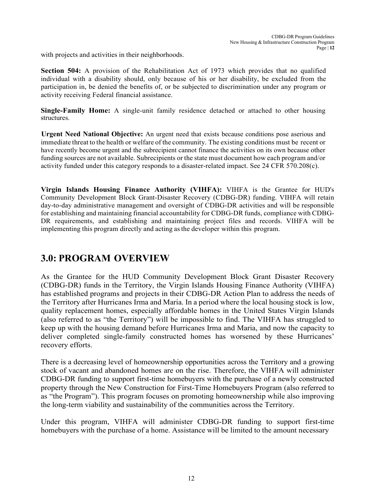with projects and activities in their neighborhoods.

**Section 504:** A provision of the Rehabilitation Act of 1973 which provides that no qualified individual with a disability should, only because of his or her disability, be excluded from the participation in, be denied the benefits of, or be subjected to discrimination under any program or activity receiving Federal financial assistance.

**Single-Family Home:** A single-unit family residence detached or attached to other housing structures.

**Urgent Need National Objective:** An urgent need that exists because conditions pose aserious and immediate threat to the health or welfare of the community. The existing conditions must be recent or have recently become urgent and the subrecipient cannot finance the activities on its own because other funding sources are not available. Subrecipients or the state must document how each program and/or activity funded under this category responds to a disaster-related impact. See 24 CFR 570.208(c).

**Virgin Islands Housing Finance Authority (VIHFA):** VIHFA is the Grantee for HUD's Community Development Block Grant-Disaster Recovery (CDBG-DR) funding. VIHFA will retain day-to-day administrative management and oversight of CDBG-DR activities and will be responsible for establishing and maintaining financial accountability for CDBG-DR funds, compliance with CDBG-DR requirements, and establishing and maintaining project files and records. VIHFA will be implementing this program directly and acting asthe developer within this program.

# <span id="page-11-0"></span>**3.0: PROGRAM OVERVIEW**

As the Grantee for the HUD Community Development Block Grant Disaster Recovery (CDBG-DR) funds in the Territory, the Virgin Islands Housing Finance Authority (VIHFA) has established programs and projects in their CDBG-DR Action Plan to address the needs of the Territory after Hurricanes Irma and Maria. In a period where the local housing stock is low, quality replacement homes, especially affordable homes in the United States Virgin Islands (also referred to as "the Territory") will be impossible to find. The VIHFA has struggled to keep up with the housing demand before Hurricanes Irma and Maria, and now the capacity to deliver completed single-family constructed homes has worsened by these Hurricanes' recovery efforts.

There is a decreasing level of homeownership opportunities across the Territory and a growing stock of vacant and abandoned homes are on the rise. Therefore, the VIHFA will administer CDBG-DR funding to support first-time homebuyers with the purchase of a newly constructed property through the New Construction for First-Time Homebuyers Program (also referred to as "the Program"). This program focuses on promoting homeownership while also improving the long-term viability and sustainability of the communities across the Territory.

Under this program, VIHFA will administer CDBG-DR funding to support first-time homebuyers with the purchase of a home. Assistance will be limited to the amount necessary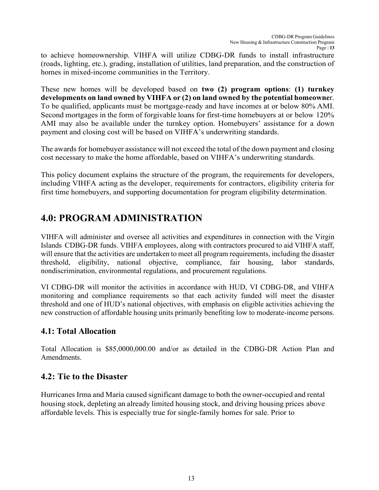to achieve homeownership. VIHFA will utilize CDBG-DR funds to install infrastructure (roads, lighting, etc.), grading, installation of utilities, land preparation, and the construction of homes in mixed-income communities in the Territory.

These new homes will be developed based on **two (2) program options**: **(1) turnkey developments on land owned by VIHFA or (2) on land owned by the potential homeowne**r. To be qualified, applicants must be mortgage-ready and have incomes at or below 80% AMI. Second mortgages in the form of forgivable loans for first-time homebuyers at or below 120% AMI may also be available under the turnkey option. Homebuyers' assistance for a down payment and closing cost will be based on VIHFA's underwriting standards.

The awards for homebuyer assistance will not exceed the total of the down payment and closing cost necessary to make the home affordable, based on VIHFA's underwriting standards.

This policy document explains the structure of the program, the requirements for developers, including VIHFA acting as the developer, requirements for contractors, eligibility criteria for first time homebuyers, and supporting documentation for program eligibility determination.

# <span id="page-12-0"></span>**4.0: PROGRAM ADMINISTRATION**

VIHFA will administer and oversee all activities and expenditures in connection with the Virgin Islands CDBG-DR funds. VIHFA employees, along with contractors procured to aid VIHFA staff, will ensure that the activities are undertaken to meet all program requirements, including the disaster threshold, eligibility, national objective, compliance, fair housing, labor standards, nondiscrimination, environmental regulations, and procurement regulations.

VI CDBG-DR will monitor the activities in accordance with HUD, VI CDBG-DR, and VIHFA monitoring and compliance requirements so that each activity funded will meet the disaster threshold and one of HUD's national objectives, with emphasis on eligible activities achieving the new construction of affordable housing units primarily benefiting low to moderate-income persons.

## <span id="page-12-1"></span>**4.1: Total Allocation**

Total Allocation is \$85,0000,000.00 and/or as detailed in the CDBG-DR Action Plan and Amendments.

## <span id="page-12-2"></span>**4.2: Tie to the Disaster**

Hurricanes Irma and Maria caused significant damage to both the owner-occupied and rental housing stock, depleting an already limited housing stock, and driving housing prices above affordable levels. This is especially true for single-family homes for sale. Prior to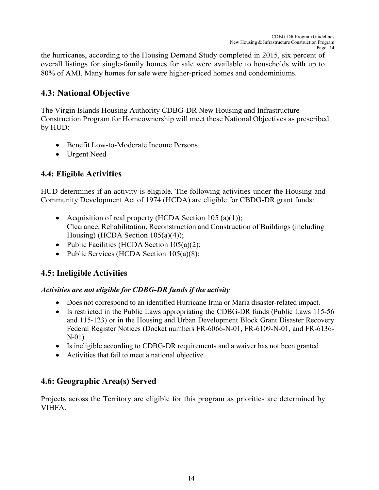the hurricanes, according to the Housing Demand Study completed in 2015, six percent of overall listings for single-family homes for sale were available to households with up to 80% of AMI. Many homes for sale were higher-priced homes and condominiums.

## <span id="page-13-0"></span>**4.3: National Objective**

The Virgin Islands Housing Authority CDBG-DR New Housing and Infrastructure Construction Program for Homeownership will meet these National Objectives as prescribed by HUD:

- Benefit Low-to-Moderate Income Persons
- Urgent Need

## **4.4: Eligible Activities**

HUD determines if an activity is eligible. The following activities under the Housing and Community Development Act of 1974 (HCDA) are eligible for CBDG-DR grant funds:

- Acquisition of real property (HCDA Section 105 (a)(1)); Clearance, Rehabilitation, Reconstruction and Construction of Buildings (including Housing) (HCDA Section 105(a)(4));
- Public Facilities (HCDA Section 105(a)(2);
- Public Services (HCDA Section 105(a)(8);

## <span id="page-13-1"></span>**4.5: Ineligible Activities**

### *Activities are not eligible for CDBG-DR funds if the activity*

- Does not correspond to an identified Hurricane Irma or Maria disaster-related impact.
- Is restricted in the Public Laws appropriating the CDBG-DR funds (Public Laws 115-56) and 115-123) or in the Housing and Urban Development Block Grant Disaster Recovery Federal Register Notices (Docket numbers FR-6066-N-01, FR-6109-N-01, and FR-6136- N-01).
- Is ineligible according to CDBG-DR requirements and a waiver has not been granted
- Activities that fail to meet a national objective.

## <span id="page-13-2"></span>**4.6: Geographic Area(s) Served**

Projects across the Territory are eligible for this program as priorities are determined by VIHFA.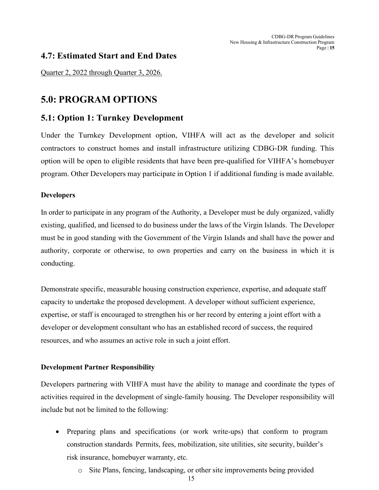### <span id="page-14-0"></span>**4.7: Estimated Start and End Dates**

Quarter 2, 2022 through Quarter 3, 2026.

# <span id="page-14-1"></span>**5.0: PROGRAM OPTIONS**

### <span id="page-14-2"></span>**5.1: Option 1: Turnkey Development**

Under the Turnkey Development option, VIHFA will act as the developer and solicit contractors to construct homes and install infrastructure utilizing CDBG-DR funding. This option will be open to eligible residents that have been pre-qualified for VIHFA's homebuyer program. Other Developers may participate in Option 1 if additional funding is made available.

### **Developers**

In order to participate in any program of the Authority, a Developer must be duly organized, validly existing, qualified, and licensed to do business under the laws of the Virgin Islands. The Developer must be in good standing with the Government of the Virgin Islands and shall have the power and authority, corporate or otherwise, to own properties and carry on the business in which it is conducting.

Demonstrate specific, measurable housing construction experience, expertise, and adequate staff capacity to undertake the proposed development. A developer without sufficient experience, expertise, or staff is encouraged to strengthen his or her record by entering a joint effort with a developer or development consultant who has an established record of success, the required resources, and who assumes an active role in such a joint effort.

### **Development Partner Responsibility**

Developers partnering with VIHFA must have the ability to manage and coordinate the types of activities required in the development of single-family housing. The Developer responsibility will include but not be limited to the following:

- Preparing plans and specifications (or work write-ups) that conform to program construction standards Permits, fees, mobilization, site utilities, site security, builder's risk insurance, homebuyer warranty, etc.
	- o Site Plans, fencing, landscaping, or other site improvements being provided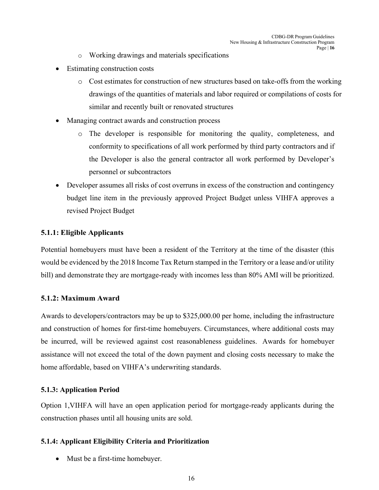- o Working drawings and materials specifications
- Estimating construction costs
	- o Cost estimates for construction of new structures based on take-offs from the working drawings of the quantities of materials and labor required or compilations of costs for similar and recently built or renovated structures
- Managing contract awards and construction process
	- o The developer is responsible for monitoring the quality, completeness, and conformity to specifications of all work performed by third party contractors and if the Developer is also the general contractor all work performed by Developer's personnel or subcontractors
- Developer assumes all risks of cost overruns in excess of the construction and contingency budget line item in the previously approved Project Budget unless VIHFA approves a revised Project Budget

#### **5.1.1: Eligible Applicants**

Potential homebuyers must have been a resident of the Territory at the time of the disaster (this would be evidenced by the 2018 Income Tax Return stamped in the Territory or a lease and/or utility bill) and demonstrate they are mortgage-ready with incomes less than 80% AMI will be prioritized.

#### **5.1.2: Maximum Award**

Awards to developers/contractors may be up to \$325,000.00 per home, including the infrastructure and construction of homes for first-time homebuyers. Circumstances, where additional costs may be incurred, will be reviewed against cost reasonableness guidelines. Awards for homebuyer assistance will not exceed the total of the down payment and closing costs necessary to make the home affordable, based on VIHFA's underwriting standards.

### **5.1.3: Application Period**

Option 1,VIHFA will have an open application period for mortgage-ready applicants during the construction phases until all housing units are sold.

### **5.1.4: Applicant Eligibility Criteria and Prioritization**

• Must be a first-time homebuyer.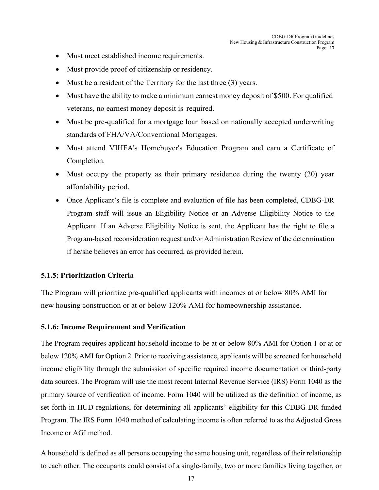- Must meet established income requirements.
- Must provide proof of citizenship or residency.
- Must be a resident of the Territory for the last three (3) years.
- Must have the ability to make a minimum earnest money deposit of \$500. For qualified veterans, no earnest money deposit is required.
- Must be pre-qualified for a mortgage loan based on nationally accepted underwriting standards of FHA/VA/Conventional Mortgages.
- Must attend VIHFA's Homebuyer's Education Program and earn a Certificate of Completion.
- Must occupy the property as their primary residence during the twenty (20) year affordability period.
- Once Applicant's file is complete and evaluation of file has been completed, CDBG-DR Program staff will issue an Eligibility Notice or an Adverse Eligibility Notice to the Applicant. If an Adverse Eligibility Notice is sent, the Applicant has the right to file a Program-based reconsideration request and/or Administration Review of the determination if he/she believes an error has occurred, as provided herein.

#### **5.1.5: Prioritization Criteria**

The Program will prioritize pre-qualified applicants with incomes at or below 80% AMI for new housing construction or at or below 120% AMI for homeownership assistance.

#### **5.1.6: Income Requirement and Verification**

The Program requires applicant household income to be at or below 80% AMI for Option 1 or at or below 120% AMI for Option 2. Prior to receiving assistance, applicants will be screened for household income eligibility through the submission of specific required income documentation or third-party data sources. The Program will use the most recent Internal Revenue Service (IRS) Form 1040 as the primary source of verification of income. Form 1040 will be utilized as the definition of income, as set forth in HUD regulations, for determining all applicants' eligibility for this CDBG-DR funded Program. The IRS Form 1040 method of calculating income is often referred to as the Adjusted Gross Income or AGI method.

A household is defined as all persons occupying the same housing unit, regardless of their relationship to each other. The occupants could consist of a single-family, two or more families living together, or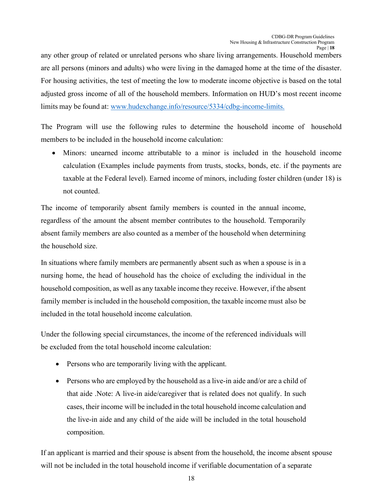any other group of related or unrelated persons who share living arrangements. Household members are all persons (minors and adults) who were living in the damaged home at the time of the disaster. For housing activities, the test of meeting the low to moderate income objective is based on the total adjusted gross income of all of the household members. Information on HUD's most recent income limits may be found at: [www.hudexchange.info/resource/5334/cdbg-income-limits.](http://www.hudexchange.info/resource/5334/cdbg-income-limits)

The Program will use the following rules to determine the household income of household members to be included in the household income calculation:

• Minors: unearned income attributable to a minor is included in the household income calculation (Examples include payments from trusts, stocks, bonds, etc. if the payments are taxable at the Federal level). Earned income of minors, including foster children (under 18) is not counted.

The income of temporarily absent family members is counted in the annual income, regardless of the amount the absent member contributes to the household. Temporarily absent family members are also counted as a member of the household when determining the household size.

In situations where family members are permanently absent such as when a spouse is in a nursing home, the head of household has the choice of excluding the individual in the household composition, as well as any taxable income they receive. However, if the absent family member is included in the household composition, the taxable income must also be included in the total household income calculation.

Under the following special circumstances, the income of the referenced individuals will be excluded from the total household income calculation:

- Persons who are temporarily living with the applicant.
- Persons who are employed by the household as a live-in aide and/or are a child of that aide .Note: A live-in aide/caregiver that is related does not qualify. In such cases, their income will be included in the total household income calculation and the live-in aide and any child of the aide will be included in the total household composition.

If an applicant is married and their spouse is absent from the household, the income absent spouse will not be included in the total household income if verifiable documentation of a separate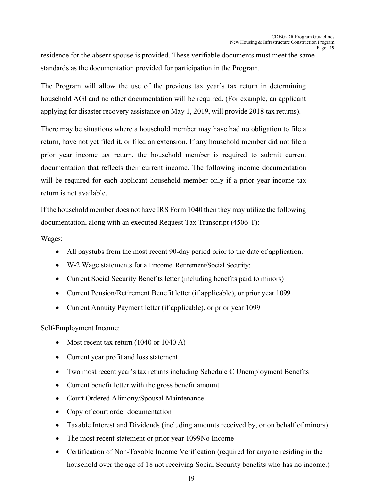residence for the absent spouse is provided. These verifiable documents must meet the same standards as the documentation provided for participation in the Program.

The Program will allow the use of the previous tax year's tax return in determining household AGI and no other documentation will be required. (For example, an applicant applying for disaster recovery assistance on May 1, 2019, will provide 2018 tax returns).

There may be situations where a household member may have had no obligation to file a return, have not yet filed it, or filed an extension. If any household member did not file a prior year income tax return, the household member is required to submit current documentation that reflects their current income. The following income documentation will be required for each applicant household member only if a prior year income tax return is not available.

If the household member does not have IRS Form 1040 then they may utilize the following documentation, along with an executed Request Tax Transcript (4506-T):

Wages:

- All paystubs from the most recent 90-day period prior to the date of application.
- W-2 Wage statements for all income. Retirement/Social Security:
- Current Social Security Benefits letter (including benefits paid to minors)
- Current Pension/Retirement Benefit letter (if applicable), or prior year 1099
- Current Annuity Payment letter (if applicable), or prior year 1099

Self-Employment Income:

- Most recent tax return (1040 or 1040 A)
- Current year profit and loss statement
- Two most recent year's tax returns including Schedule C Unemployment Benefits
- Current benefit letter with the gross benefit amount
- Court Ordered Alimony/Spousal Maintenance
- Copy of court order documentation
- Taxable Interest and Dividends (including amounts received by, or on behalf of minors)
- The most recent statement or prior year 1099No Income
- Certification of Non-Taxable Income Verification (required for anyone residing in the household over the age of 18 not receiving Social Security benefits who has no income.)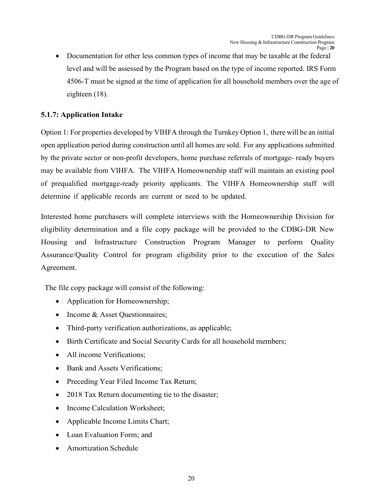• Documentation for other less common types of income that may be taxable at the federal level and will be assessed by the Program based on the type of income reported. IRS Form 4506-T must be signed at the time of application for all household members over the age of eighteen (18).

### **5.1.7: Application Intake**

Option 1: For properties developed by VIHFA through the Turnkey Option 1, there will be an initial open application period during construction until all homes are sold. For any applications submitted by the private sector or non-profit developers, home purchase referrals of mortgage- ready buyers may be available from VIHFA. The VIHFA Homeownership staff will maintain an existing pool of prequalified mortgage-ready priority applicants. The VIHFA Homeownership staff will determine if applicable records are current or need to be updated.

Interested home purchasers will complete interviews with the Homeownership Division for eligibility determination and a file copy package will be provided to the CDBG-DR New Housing and Infrastructure Construction Program Manager to perform Quality Assurance/Quality Control for program eligibility prior to the execution of the Sales Agreement.

The file copy package will consist of the following:

- Application for Homeownership;
- Income & Asset Questionnaires;
- Third-party verification authorizations, as applicable;
- Birth Certificate and Social Security Cards for all household members;
- All income Verifications;
- Bank and Assets Verifications;
- Preceding Year Filed Income Tax Return;
- 2018 Tax Return documenting tie to the disaster;
- Income Calculation Worksheet;
- Applicable Income Limits Chart;
- Loan Evaluation Form; and
- Amortization Schedule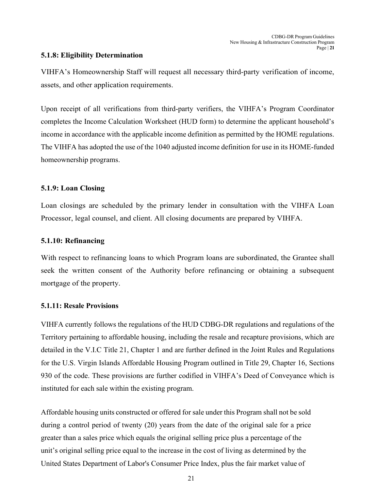#### **5.1.8: Eligibility Determination**

VIHFA's Homeownership Staff will request all necessary third-party verification of income, assets, and other application requirements.

Upon receipt of all verifications from third-party verifiers, the VIHFA's Program Coordinator completes the Income Calculation Worksheet (HUD form) to determine the applicant household's income in accordance with the applicable income definition as permitted by the HOME regulations. The VIHFA has adopted the use of the 1040 adjusted income definition for use in its HOME-funded homeownership programs.

#### **5.1.9: Loan Closing**

Loan closings are scheduled by the primary lender in consultation with the VIHFA Loan Processor, legal counsel, and client. All closing documents are prepared by VIHFA.

#### **5.1.10: Refinancing**

With respect to refinancing loans to which Program loans are subordinated, the Grantee shall seek the written consent of the Authority before refinancing or obtaining a subsequent mortgage of the property.

#### **5.1.11: Resale Provisions**

VIHFA currently follows the regulations of the HUD CDBG-DR regulations and regulations of the Territory pertaining to affordable housing, including the resale and recapture provisions, which are detailed in the V.I.C Title 21, Chapter 1 and are further defined in the Joint Rules and Regulations for the U.S. Virgin Islands Affordable Housing Program outlined in Title 29, Chapter 16, Sections 930 of the code. These provisions are further codified in VIHFA's Deed of Conveyance which is instituted for each sale within the existing program.

Affordable housing units constructed or offered for sale under this Program shall not be sold during a control period of twenty (20) years from the date of the original sale for a price greater than a sales price which equals the original selling price plus a percentage of the unit's original selling price equal to the increase in the cost of living as determined by the United States Department of Labor's Consumer Price Index, plus the fair market value of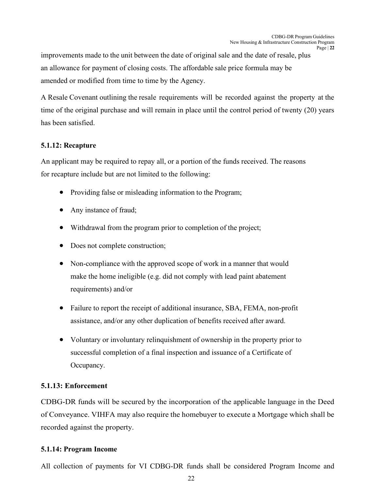improvements made to the unit between the date of original sale and the date of resale, plus an allowance for payment of closing costs. The affordable sale price formula may be amended or modified from time to time by the Agency.

A Resale Covenant outlining the resale requirements will be recorded against the property at the time of the original purchase and will remain in place until the control period of twenty (20) years has been satisfied.

### **5.1.12: Recapture**

An applicant may be required to repay all, or a portion of the funds received. The reasons for recapture include but are not limited to the following:

- Providing false or misleading information to the Program;
- Any instance of fraud;
- Withdrawal from the program prior to completion of the project;
- Does not complete construction;
- Non-compliance with the approved scope of work in a manner that would make the home ineligible (e.g. did not comply with lead paint abatement requirements) and/or
- Failure to report the receipt of additional insurance, SBA, FEMA, non-profit assistance, and/or any other duplication of benefits received after award.
- Voluntary or involuntary relinquishment of ownership in the property prior to successful completion of a final inspection and issuance of a Certificate of Occupancy.

### **5.1.13: Enforcement**

CDBG-DR funds will be secured by the incorporation of the applicable language in the Deed of Conveyance. VIHFA may also require the homebuyer to execute a Mortgage which shall be recorded against the property.

### **5.1.14: Program Income**

All collection of payments for VI CDBG-DR funds shall be considered Program Income and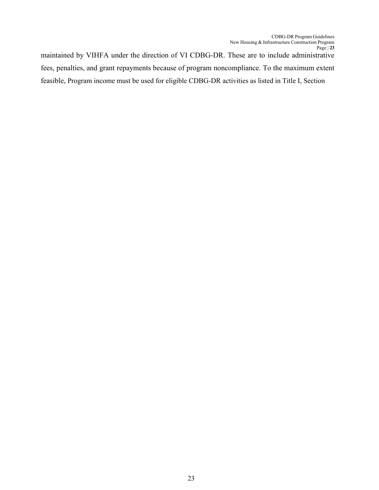maintained by VIHFA under the direction of VI CDBG-DR. These are to include administrative fees, penalties, and grant repayments because of program noncompliance. To the maximum extent feasible, Program income must be used for eligible CDBG-DR activities as listed in Title I, Section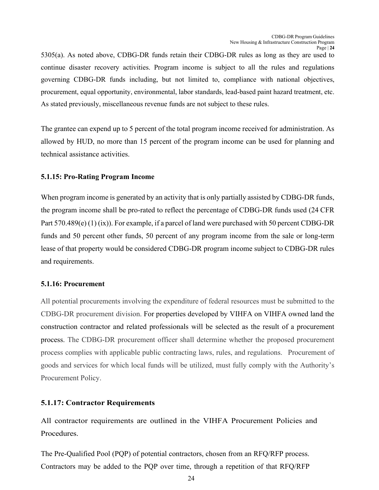5305(a). As noted above, CDBG-DR funds retain their CDBG-DR rules as long as they are used to continue disaster recovery activities. Program income is subject to all the rules and regulations governing CDBG-DR funds including, but not limited to, compliance with national objectives, procurement, equal opportunity, environmental, labor standards, lead-based paint hazard treatment, etc. As stated previously, miscellaneous revenue funds are not subject to these rules.

The grantee can expend up to 5 percent of the total program income received for administration. As allowed by HUD, no more than 15 percent of the program income can be used for planning and technical assistance activities.

#### **5.1.15: Pro-Rating Program Income**

When program income is generated by an activity that is only partially assisted by CDBG-DR funds, the program income shall be pro-rated to reflect the percentage of CDBG-DR funds used (24 CFR Part 570.489(e) (1) (ix)). For example, if a parcel of land were purchased with 50 percent CDBG-DR funds and 50 percent other funds, 50 percent of any program income from the sale or long-term lease of that property would be considered CDBG-DR program income subject to CDBG-DR rules and requirements.

#### **5.1.16: Procurement**

All potential procurements involving the expenditure of federal resources must be submitted to the CDBG-DR procurement division. For properties developed by VIHFA on VIHFA owned land the construction contractor and related professionals will be selected as the result of a procurement process. The CDBG-DR procurement officer shall determine whether the proposed procurement process complies with applicable public contracting laws, rules, and regulations. Procurement of goods and services for which local funds will be utilized, must fully comply with the Authority's Procurement Policy.

#### **5.1.17: Contractor Requirements**

All contractor requirements are outlined in the VIHFA Procurement Policies and Procedures.

The Pre-Qualified Pool (PQP) of potential contractors, chosen from an RFQ/RFP process. Contractors may be added to the PQP over time, through a repetition of that RFQ/RFP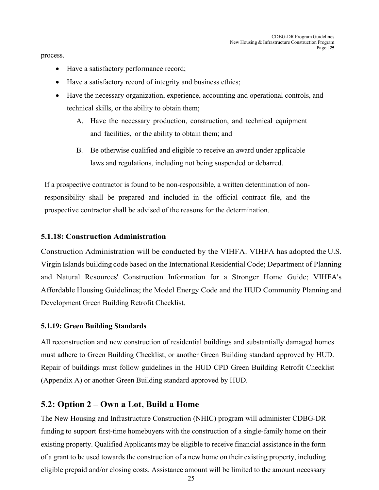process.

- Have a satisfactory performance record;
- Have a satisfactory record of integrity and business ethics;
- Have the necessary organization, experience, accounting and operational controls, and technical skills, or the ability to obtain them;
	- A. Have the necessary production, construction, and technical equipment and facilities, or the ability to obtain them; and
	- B. Be otherwise qualified and eligible to receive an award under applicable laws and regulations, including not being suspended or debarred.

If a prospective contractor is found to be non-responsible, a written determination of nonresponsibility shall be prepared and included in the official contract file, and the prospective contractor shall be advised of the reasons for the determination.

#### **5.1.18: Construction Administration**

Construction Administration will be conducted by the VIHFA. VIHFA has adopted the U.S. Virgin Islands building code based on the International Residential Code; Department of Planning and Natural Resources' Construction Information for a Stronger Home Guide; VIHFA's Affordable Housing Guidelines; the Model Energy Code and the HUD Community Planning and Development Green Building Retrofit Checklist.

#### **5.1.19: Green Building Standards**

All reconstruction and new construction of residential buildings and substantially damaged homes must adhere to Green Building Checklist, or another Green Building standard approved by HUD. Repair of buildings must follow guidelines in the [HUD CPD Green](https://www.hudexchange.info/resource/3684/guidance-on-the-cpd-green-building-checklist/) [Building Retrofit Checklist](https://www.hudexchange.info/resource/3684/guidance-on-the-cpd-green-building-checklist/) [\(Appendix A\) or another Green Building standard approved by HUD.](https://www.hudexchange.info/resource/3684/guidance-on-the-cpd-green-building-checklist/)

### <span id="page-24-0"></span>**5.2: Option 2 – Own a Lot, Build a Home**

The New Housing and Infrastructure Construction (NHIC) program will administer CDBG-DR funding to support first-time homebuyers with the construction of a single-family home on their existing property. Qualified Applicants may be eligible to receive financial assistance in the form of a grant to be used towards the construction of a new home on their existing property, including eligible prepaid and/or closing costs. Assistance amount will be limited to the amount necessary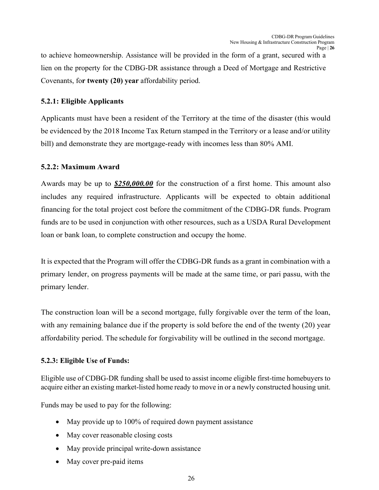to achieve homeownership. Assistance will be provided in the form of a grant, secured with a lien on the property for the CDBG-DR assistance through a Deed of Mortgage and Restrictive Covenants, fo**r twenty (20) year** affordability period.

#### **5.2.1: Eligible Applicants**

Applicants must have been a resident of the Territory at the time of the disaster (this would be evidenced by the 2018 Income Tax Return stamped in the Territory or a lease and/or utility bill) and demonstrate they are mortgage-ready with incomes less than 80% AMI.

#### **5.2.2: Maximum Award**

Awards may be up to *\$250,000.00* for the construction of a first home. This amount also includes any required infrastructure. Applicants will be expected to obtain additional financing for the total project cost before the commitment of the CDBG-DR funds. Program funds are to be used in conjunction with other resources, such as a USDA Rural Development loan or bank loan, to complete construction and occupy the home.

It is expected that the Program will offer the CDBG-DR funds as a grant in combination with a primary lender, on progress payments will be made at the same time, or pari passu, with the primary lender.

The construction loan will be a second mortgage, fully forgivable over the term of the loan, with any remaining balance due if the property is sold before the end of the twenty (20) year affordability period. The schedule for forgivability will be outlined in the second mortgage.

### **5.2.3: Eligible Use of Funds:**

Eligible use of CDBG-DR funding shall be used to assist income eligible first-time homebuyers to acquire either an existing market-listed home ready to move in or a newly constructed housing unit.

Funds may be used to pay for the following:

- May provide up to 100% of required down payment assistance
- May cover reasonable closing costs
- May provide principal write-down assistance
- May cover pre-paid items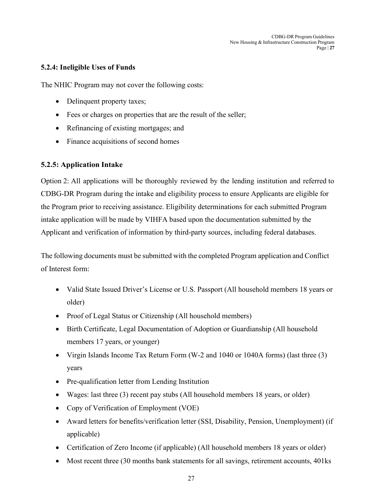CDBG-DR Program Guidelines New Housing & Infrastructure Construction Program Page | **27**

#### **5.2.4: Ineligible Uses of Funds**

The NHIC Program may not cover the following costs:

- Delinquent property taxes;
- Fees or charges on properties that are the result of the seller;
- Refinancing of existing mortgages; and
- Finance acquisitions of second homes

#### **5.2.5: Application Intake**

Option 2: All applications will be thoroughly reviewed by the lending institution and referred to CDBG-DR Program during the intake and eligibility process to ensure Applicants are eligible for the Program prior to receiving assistance. Eligibility determinations for each submitted Program intake application will be made by VIHFA based upon the documentation submitted by the Applicant and verification of information by third-party sources, including federal databases.

The following documents must be submitted with the completed Program application and Conflict of Interest form:

- Valid State Issued Driver's License or U.S. Passport (All household members 18 years or older)
- Proof of Legal Status or Citizenship (All household members)
- Birth Certificate, Legal Documentation of Adoption or Guardianship (All household members 17 years, or younger)
- Virgin Islands Income Tax Return Form (W-2 and 1040 or 1040A forms) (last three (3) years
- Pre-qualification letter from Lending Institution
- Wages: last three (3) recent pay stubs (All household members 18 years, or older)
- Copy of Verification of Employment (VOE)
- Award letters for benefits/verification letter (SSI, Disability, Pension, Unemployment) (if applicable)
- Certification of Zero Income (if applicable) (All household members 18 years or older)
- Most recent three (30 months bank statements for all savings, retirement accounts, 401ks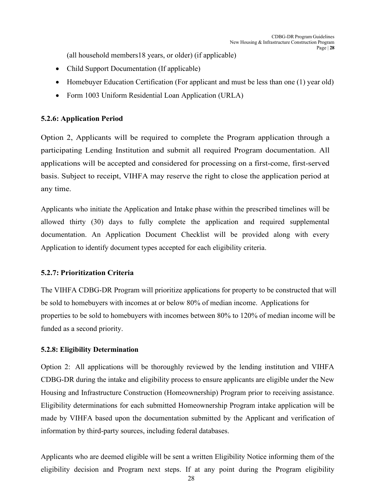(all household members18 years, or older) (if applicable)

- Child Support Documentation (If applicable)
- Homebuyer Education Certification (For applicant and must be less than one (1) year old)
- Form 1003 Uniform Residential Loan Application (URLA)

#### **5.2.6: Application Period**

Option 2, Applicants will be required to complete the Program application through a participating Lending Institution and submit all required Program documentation. All applications will be accepted and considered for processing on a first-come, first-served basis. Subject to receipt, VIHFA may reserve the right to close the application period at any time.

Applicants who initiate the Application and Intake phase within the prescribed timelines will be allowed thirty (30) days to fully complete the application and required supplemental documentation. An Application Document Checklist will be provided along with every Application to identify document types accepted for each eligibility criteria.

#### **5.2.7: Prioritization Criteria**

The VIHFA CDBG-DR Program will prioritize applications for property to be constructed that will be sold to homebuyers with incomes at or below 80% of median income. Applications for properties to be sold to homebuyers with incomes between 80% to 120% of median income will be funded as a second priority.

### **5.2.8: Eligibility Determination**

Option 2: All applications will be thoroughly reviewed by the lending institution and VIHFA CDBG-DR during the intake and eligibility process to ensure applicants are eligible under the New Housing and Infrastructure Construction (Homeownership) Program prior to receiving assistance. Eligibility determinations for each submitted Homeownership Program intake application will be made by VIHFA based upon the documentation submitted by the Applicant and verification of information by third-party sources, including federal databases.

Applicants who are deemed eligible will be sent a written Eligibility Notice informing them of the eligibility decision and Program next steps. If at any point during the Program eligibility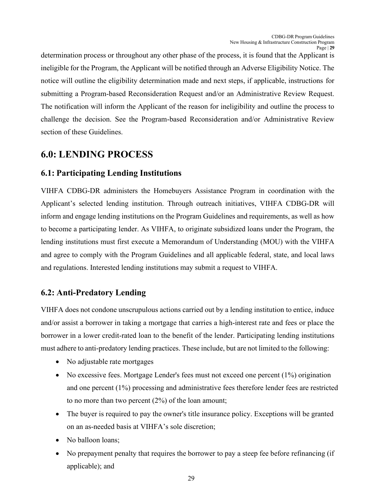determination process or throughout any other phase of the process, it is found that the Applicant is ineligible for the Program, the Applicant will be notified through an Adverse Eligibility Notice. The notice will outline the eligibility determination made and next steps, if applicable, instructions for submitting a Program-based Reconsideration Request and/or an Administrative Review Request. The notification will inform the Applicant of the reason for ineligibility and outline the process to challenge the decision. See the Program-based Reconsideration and/or Administrative Review section of these Guidelines.

# <span id="page-28-0"></span>**6.0: LENDING PROCESS**

## <span id="page-28-1"></span>**6.1: Participating Lending Institutions**

VIHFA CDBG-DR administers the Homebuyers Assistance Program in coordination with the Applicant's selected lending institution. Through outreach initiatives, VIHFA CDBG-DR will inform and engage lending institutions on the Program Guidelines and requirements, as well as how to become a participating lender. As VIHFA, to originate subsidized loans under the Program, the lending institutions must first execute a Memorandum of Understanding (MOU) with the VIHFA and agree to comply with the Program Guidelines and all applicable federal, state, and local laws and regulations. Interested lending institutions may submit a request to VIHFA.

## **6.2: Anti-Predatory Lending**

VIHFA does not condone unscrupulous actions carried out by a lending institution to entice, induce and/or assist a borrower in taking a mortgage that carries a high-interest rate and fees or place the borrower in a lower credit-rated loan to the benefit of the lender. Participating lending institutions must adhere to anti-predatory lending practices. These include, but are not limited to the following:

- No adjustable rate mortgages
- No excessive fees. Mortgage Lender's fees must not exceed one percent (1%) origination and one percent (1%) processing and administrative fees therefore lender fees are restricted to no more than two percent (2%) of the loan amount;
- The buyer is required to pay the owner's title insurance policy. Exceptions will be granted on an as-needed basis at VIHFA's sole discretion;
- No balloon loans:
- No prepayment penalty that requires the borrower to pay a steep fee before refinancing (if applicable); and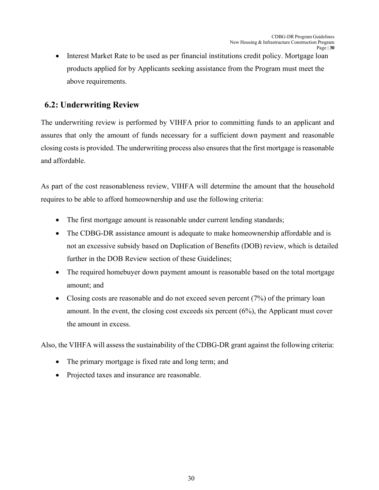• Interest Market Rate to be used as per financial institutions credit policy. Mortgage loan products applied for by Applicants seeking assistance from the Program must meet the above requirements.

## <span id="page-29-0"></span>**6.2: Underwriting Review**

The underwriting review is performed by VIHFA prior to committing funds to an applicant and assures that only the amount of funds necessary for a sufficient down payment and reasonable closing costs is provided. The underwriting process also ensures that the first mortgage is reasonable and affordable.

As part of the cost reasonableness review, VIHFA will determine the amount that the household requires to be able to afford homeownership and use the following criteria:

- The first mortgage amount is reasonable under current lending standards;
- The CDBG-DR assistance amount is adequate to make homeownership affordable and is not an excessive subsidy based on Duplication of Benefits (DOB) review, which is detailed further in the DOB Review section of these Guidelines;
- The required homebuyer down payment amount is reasonable based on the total mortgage amount; and
- Closing costs are reasonable and do not exceed seven percent  $(7%)$  of the primary loan amount. In the event, the closing cost exceeds six percent (6%), the Applicant must cover the amount in excess.

Also, the VIHFA will assess the sustainability of the CDBG-DR grant against the following criteria:

- The primary mortgage is fixed rate and long term; and
- Projected taxes and insurance are reasonable.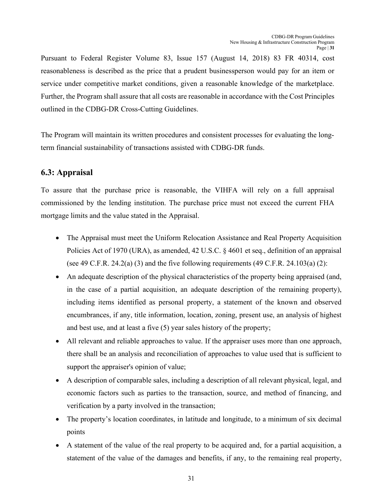Pursuant to Federal Register Volume 83, Issue 157 (August 14, 2018) 83 FR 40314, cost reasonableness is described as the price that a prudent businessperson would pay for an item or service under competitive market conditions, given a reasonable knowledge of the marketplace. Further, the Program shall assure that all costs are reasonable in accordance with the Cost Principles outlined in the CDBG-DR Cross-Cutting Guidelines.

The Program will maintain its written procedures and consistent processes for evaluating the longterm financial sustainability of transactions assisted with CDBG-DR funds.

## <span id="page-30-0"></span>**6.3: Appraisal**

To assure that the purchase price is reasonable, the VIHFA will rely on a full appraisal commissioned by the lending institution. The purchase price must not exceed the current FHA mortgage limits and the value stated in the Appraisal.

- The Appraisal must meet the Uniform Relocation Assistance and Real Property Acquisition Policies Act of 1970 (URA), as amended, 42 U.S.C. § 4601 et seq., definition of an appraisal (see 49 C.F.R. 24.2(a) (3) and the five following requirements (49 C.F.R. 24.103(a) (2):
- An adequate description of the physical characteristics of the property being appraised (and, in the case of a partial acquisition, an adequate description of the remaining property), including items identified as personal property, a statement of the known and observed encumbrances, if any, title information, location, zoning, present use, an analysis of highest and best use, and at least a five (5) year sales history of the property;
- All relevant and reliable approaches to value. If the appraiser uses more than one approach, there shall be an analysis and reconciliation of approaches to value used that is sufficient to support the appraiser's opinion of value;
- A description of comparable sales, including a description of all relevant physical, legal, and economic factors such as parties to the transaction, source, and method of financing, and verification by a party involved in the transaction;
- The property's location coordinates, in latitude and longitude, to a minimum of six decimal points
- A statement of the value of the real property to be acquired and, for a partial acquisition, a statement of the value of the damages and benefits, if any, to the remaining real property,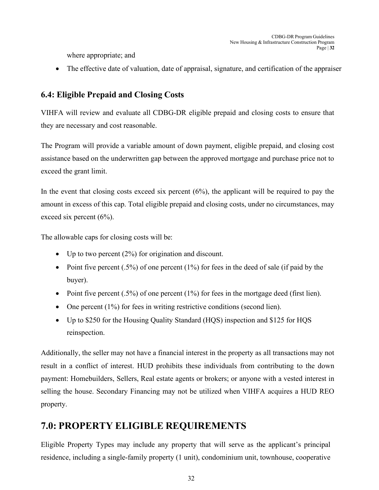where appropriate; and

• The effective date of valuation, date of appraisal, signature, and certification of the appraiser

## <span id="page-31-0"></span>**6.4: Eligible Prepaid and Closing Costs**

VIHFA will review and evaluate all CDBG-DR eligible prepaid and closing costs to ensure that they are necessary and cost reasonable.

The Program will provide a variable amount of down payment, eligible prepaid, and closing cost assistance based on the underwritten gap between the approved mortgage and purchase price not to exceed the grant limit.

In the event that closing costs exceed six percent  $(6\%)$ , the applicant will be required to pay the amount in excess of this cap. Total eligible prepaid and closing costs, under no circumstances, may exceed six percent (6%).

The allowable caps for closing costs will be:

- Up to two percent  $(2\%)$  for origination and discount.
- Point five percent  $(.5\%)$  of one percent  $(1\%)$  for fees in the deed of sale (if paid by the buyer).
- Point five percent  $(.5\%)$  of one percent  $(1\%)$  for fees in the mortgage deed (first lien).
- One percent  $(1\%)$  for fees in writing restrictive conditions (second lien).
- Up to \$250 for the Housing Quality Standard (HQS) inspection and \$125 for HQS reinspection.

Additionally, the seller may not have a financial interest in the property as all transactions may not result in a conflict of interest. HUD prohibits these individuals from contributing to the down payment: Homebuilders, Sellers, Real estate agents or brokers; or anyone with a vested interest in selling the house. Secondary Financing may not be utilized when VIHFA acquires a HUD REO property.

# <span id="page-31-1"></span>**7.0: PROPERTY ELIGIBLE REQUIREMENTS**

Eligible Property Types may include any property that will serve as the applicant's principal residence, including a single-family property (1 unit), condominium unit, townhouse, cooperative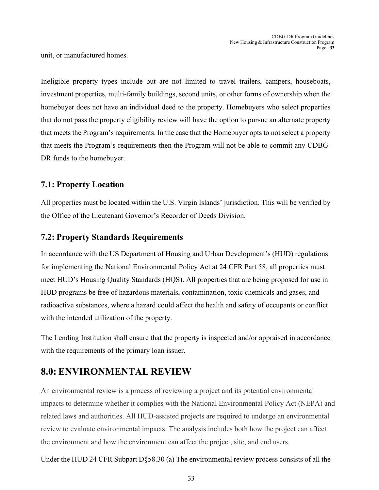unit, or manufactured homes.

Ineligible property types include but are not limited to travel trailers, campers, houseboats, investment properties, multi-family buildings, second units, or other forms of ownership when the homebuyer does not have an individual deed to the property. Homebuyers who select properties that do not pass the property eligibility review will have the option to pursue an alternate property that meets the Program's requirements. In the case that the Homebuyer opts to not select a property that meets the Program's requirements then the Program will not be able to commit any CDBG-DR funds to the homebuyer.

### <span id="page-32-0"></span>**7.1: Property Location**

All properties must be located within the U.S. Virgin Islands' jurisdiction. This will be verified by the Office of the Lieutenant Governor's Recorder of Deeds Division.

### <span id="page-32-1"></span>**7.2: Property Standards Requirements**

In accordance with the US Department of Housing and Urban Development's (HUD) regulations for implementing the National Environmental Policy Act at 24 CFR Part 58, all properties must meet HUD's Housing Quality Standards (HQS). All properties that are being proposed for use in HUD programs be free of hazardous materials, contamination, toxic chemicals and gases, and radioactive substances, where a hazard could affect the health and safety of occupants or conflict with the intended utilization of the property.

The Lending Institution shall ensure that the property is inspected and/or appraised in accordance with the requirements of the primary loan issuer.

# <span id="page-32-2"></span>**8.0: ENVIRONMENTAL REVIEW**

An environmental review is a process of reviewing a project and its potential environmental impacts to determine whether it complies with the National Environmental Policy Act (NEPA) and related laws and authorities. All HUD-assisted projects are required to undergo an environmental review to evaluate environmental impacts. The analysis includes both how the project can affect the environment and how the environment can affect the project, site, and end users.

Under the HUD 24 CFR Subpart D§58.30 (a) The environmental review process consists of all the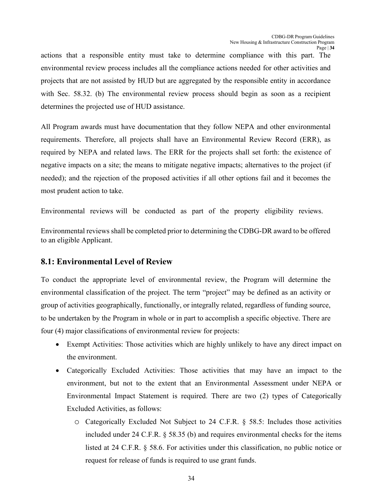actions that a responsible entity must take to determine compliance with this part. The environmental review process includes all the compliance actions needed for other activities and projects that are not assisted by HUD but are aggregated by the responsible entity in accordance with Sec. 58.32. (b) The environmental review process should begin as soon as a recipient determines the projected use of HUD assistance.

All Program awards must have documentation that they follow NEPA and other environmental requirements. Therefore, all projects shall have an Environmental Review Record (ERR), as required by NEPA and related laws. The ERR for the projects shall set forth: the existence of negative impacts on a site; the means to mitigate negative impacts; alternatives to the project (if needed); and the rejection of the proposed activities if all other options fail and it becomes the most prudent action to take.

Environmental reviews will be conducted as part of the property eligibility reviews.

Environmental reviews shall be completed prior to determining the CDBG-DR award to be offered to an eligible Applicant.

### <span id="page-33-0"></span>**8.1: Environmental Level of Review**

To conduct the appropriate level of environmental review, the Program will determine the environmental classification of the project. The term "project" may be defined as an activity or group of activities geographically, functionally, or integrally related, regardless of funding source, to be undertaken by the Program in whole or in part to accomplish a specific objective. There are four (4) major classifications of environmental review for projects:

- Exempt Activities: Those activities which are highly unlikely to have any direct impact on the environment.
- Categorically Excluded Activities: Those activities that may have an impact to the environment, but not to the extent that an Environmental Assessment under NEPA or Environmental Impact Statement is required. There are two (2) types of Categorically Excluded Activities, as follows:
	- o Categorically Excluded Not Subject to 24 C.F.R. § 58.5: Includes those activities included under 24 C.F.R. § 58.35 (b) and requires environmental checks for the items listed at 24 C.F.R. § 58.6. For activities under this classification, no public notice or request for release of funds is required to use grant funds.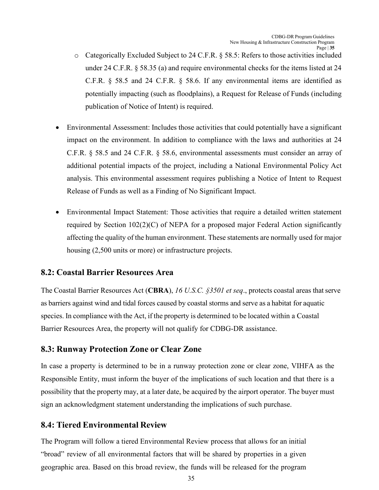- o Categorically Excluded Subject to 24 C.F.R. § 58.5: Refers to those activities included under 24 C.F.R. § 58.35 (a) and require environmental checks for the items listed at 24 C.F.R. § 58.5 and 24 C.F.R. § 58.6. If any environmental items are identified as potentially impacting (such as floodplains), a Request for Release of Funds (including publication of Notice of Intent) is required.
- Environmental Assessment: Includes those activities that could potentially have a significant impact on the environment. In addition to compliance with the laws and authorities at 24 C.F.R. § 58.5 and 24 C.F.R. § 58.6, environmental assessments must consider an array of additional potential impacts of the project, including a National Environmental Policy Act analysis. This environmental assessment requires publishing a Notice of Intent to Request Release of Funds as well as a Finding of No Significant Impact.
- Environmental Impact Statement: Those activities that require a detailed written statement required by Section  $102(2)(C)$  of NEPA for a proposed major Federal Action significantly affecting the quality of the human environment. These statements are normally used for major housing (2,500 units or more) or infrastructure projects.

### <span id="page-34-0"></span>**8.2: Coastal Barrier Resources Area**

The Coastal Barrier Resources Act (**CBRA**), *16 U.S.C. §3501 et seq*., protects coastal areas thatserve as barriers against wind and tidal forces caused by coastal storms and serve as a habitat for aquatic species. In compliance with the Act, if the property is determined to be located within a Coastal Barrier Resources Area, the property will not qualify for CDBG-DR assistance.

### <span id="page-34-1"></span>**8.3: Runway Protection Zone or Clear Zone**

In case a property is determined to be in a runway protection zone or clear zone, VIHFA as the Responsible Entity, must inform the buyer of the implications of such location and that there is a possibility that the property may, at a later date, be acquired by the airport operator. The buyer must sign an acknowledgment statement understanding the implications of such purchase.

## <span id="page-34-2"></span>**8.4: Tiered Environmental Review**

The Program will follow a tiered Environmental Review process that allows for an initial "broad" review of all environmental factors that will be shared by properties in a given geographic area. Based on this broad review, the funds will be released for the program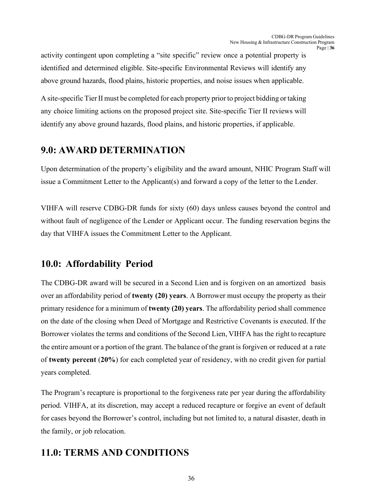activity contingent upon completing a "site specific" review once a potential property is identified and determined eligible. Site-specific Environmental Reviews will identify any above ground hazards, flood plains, historic properties, and noise issues when applicable.

A site-specific Tier II must be completed for each property prior to project bidding or taking any choice limiting actions on the proposed project site. Site-specific Tier II reviews will identify any above ground hazards, flood plains, and historic properties, if applicable.

## <span id="page-35-0"></span>**9.0: AWARD DETERMINATION**

Upon determination of the property's eligibility and the award amount, NHIC Program Staff will issue a Commitment Letter to the Applicant(s) and forward a copy of the letter to the Lender.

VIHFA will reserve CDBG-DR funds for sixty (60) days unless causes beyond the control and without fault of negligence of the Lender or Applicant occur. The funding reservation begins the day that VIHFA issues the Commitment Letter to the Applicant.

## <span id="page-35-1"></span>**10.0: Affordability Period**

The CDBG-DR award will be secured in a Second Lien and is forgiven on an amortized basis over an affordability period of **twenty (20) years**. A Borrower must occupy the property as their primary residence for a minimum of **twenty (20) years**. The affordability period shall commence on the date of the closing when Deed of Mortgage and Restrictive Covenants is executed. If the Borrower violates the terms and conditions of the Second Lien, VIHFA has the right to recapture the entire amount or a portion of the grant. The balance of the grant is forgiven or reduced at a rate of **twenty percent** (**20%**) for each completed year of residency, with no credit given for partial years completed.

The Program's recapture is proportional to the forgiveness rate per year during the affordability period. VIHFA, at its discretion, may accept a reduced recapture or forgive an event of default for cases beyond the Borrower's control, including but not limited to, a natural disaster, death in the family, or job relocation.

# <span id="page-35-2"></span>**11.0: TERMS AND CONDITIONS**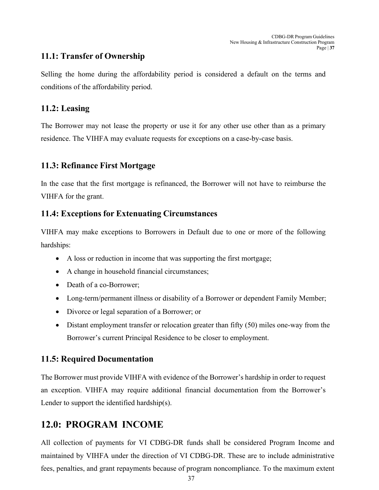### <span id="page-36-0"></span>**11.1: Transfer of Ownership**

Selling the home during the affordability period is considered a default on the terms and conditions of the affordability period.

### <span id="page-36-1"></span>**11.2: Leasing**

The Borrower may not lease the property or use it for any other use other than as a primary residence. The VIHFA may evaluate requests for exceptions on a case-by-case basis.

## <span id="page-36-2"></span>**11.3: Refinance First Mortgage**

In the case that the first mortgage is refinanced, the Borrower will not have to reimburse the VIHFA for the grant.

## <span id="page-36-3"></span>**11.4: Exceptions for Extenuating Circumstances**

VIHFA may make exceptions to Borrowers in Default due to one or more of the following hardships:

- A loss or reduction in income that was supporting the first mortgage;
- A change in household financial circumstances;
- Death of a co-Borrower;
- Long-term/permanent illness or disability of a Borrower or dependent Family Member;
- Divorce or legal separation of a Borrower; or
- Distant employment transfer or relocation greater than fifty (50) miles one-way from the Borrower's current Principal Residence to be closer to employment.

### <span id="page-36-4"></span>**11.5: Required Documentation**

The Borrower must provide VIHFA with evidence of the Borrower's hardship in order to request an exception. VIHFA may require additional financial documentation from the Borrower's Lender to support the identified hardship(s).

# <span id="page-36-5"></span>**12.0: PROGRAM INCOME**

All collection of payments for VI CDBG-DR funds shall be considered Program Income and maintained by VIHFA under the direction of VI CDBG-DR. These are to include administrative fees, penalties, and grant repayments because of program noncompliance. To the maximum extent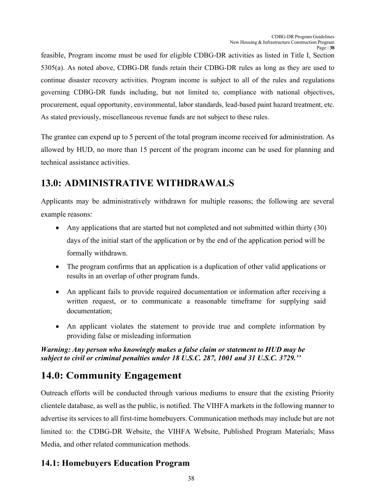feasible, Program income must be used for eligible CDBG-DR activities as listed in Title I, Section 5305(a). As noted above, CDBG-DR funds retain their CDBG-DR rules as long as they are used to continue disaster recovery activities. Program income is subject to all of the rules and regulations governing CDBG-DR funds including, but not limited to, compliance with national objectives, procurement, equal opportunity, environmental, labor standards, lead-based paint hazard treatment, etc. As stated previously, miscellaneous revenue funds are not subject to these rules.

The grantee can expend up to 5 percent of the total program income received for administration. As allowed by HUD, no more than 15 percent of the program income can be used for planning and technical assistance activities.

# <span id="page-37-0"></span>**13.0: ADMINISTRATIVE WITHDRAWALS**

Applicants may be administratively withdrawn for multiple reasons; the following are several example reasons:

- Any applications that are started but not completed and not submitted within thirty (30) days of the initial start of the application or by the end of the application period will be formally withdrawn.
- The program confirms that an application is a duplication of other valid applications or results in an overlap of other program funds.
- An applicant fails to provide required documentation or information after receiving a written request, or to communicate a reasonable timeframe for supplying said documentation;
- An applicant violates the statement to provide true and complete information by providing false or misleading information

*Warning: Any person who knowingly makes a false claim or statement to HUD may be subject to civil or criminal penalties under 18 U.S.C. 287, 1001 and 31 U.S.C. 3729.''*

# <span id="page-37-1"></span>**14.0: Community Engagement**

Outreach efforts will be conducted through various mediums to ensure that the existing Priority clientele database, as well as the public, is notified. The VIHFA markets in the following manner to advertise its services to all first-time homebuyers. Communication methods may include but are not limited to: the CDBG-DR Website, the VIHFA Website, Published Program Materials; Mass Media, and other related communication methods.

## <span id="page-37-2"></span>**14.1: Homebuyers Education Program**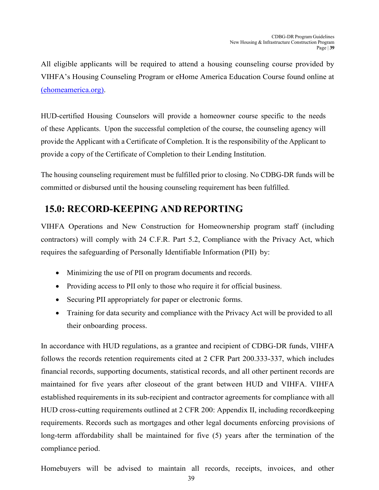All eligible applicants will be required to attend a housing counseling course provided by VIHFA's Housing Counseling Program or eHome America Education Course found online at [\(ehomeamerica.org\).](https://www.ehomeamerica.org/vihfa)

HUD-certified Housing Counselors will provide a homeowner course specific to the needs of these Applicants. Upon the successful completion of the course, the counseling agency will provide the Applicant with a Certificate of Completion. It is the responsibility of the Applicant to provide a copy of the Certificate of Completion to their Lending Institution.

The housing counseling requirement must be fulfilled prior to closing. No CDBG-DR funds will be committed or disbursed until the housing counseling requirement has been fulfilled.

## <span id="page-38-0"></span>**15.0: RECORD-KEEPING AND REPORTING**

VIHFA Operations and New Construction for Homeownership program staff (including contractors) will comply with 24 C.F.R. Part 5.2, Compliance with the Privacy Act, which requires the safeguarding of Personally Identifiable Information (PII) by:

- Minimizing the use of PII on program documents and records.
- Providing access to PII only to those who require it for official business.
- Securing PII appropriately for paper or electronic forms.
- Training for data security and compliance with the Privacy Act will be provided to all their onboarding process.

In accordance with HUD regulations, as a grantee and recipient of CDBG-DR funds, VIHFA follows the records retention requirements cited at 2 CFR Part 200.333-337, which includes financial records, supporting documents, statistical records, and all other pertinent records are maintained for five years after closeout of the grant between HUD and VIHFA. VIHFA established requirements in its sub-recipient and contractor agreements for compliance with all HUD cross-cutting requirements outlined at 2 CFR 200: Appendix II, including recordkeeping requirements. Records such as mortgages and other legal documents enforcing provisions of long-term affordability shall be maintained for five (5) years after the termination of the compliance period.

Homebuyers will be advised to maintain all records, receipts, invoices, and other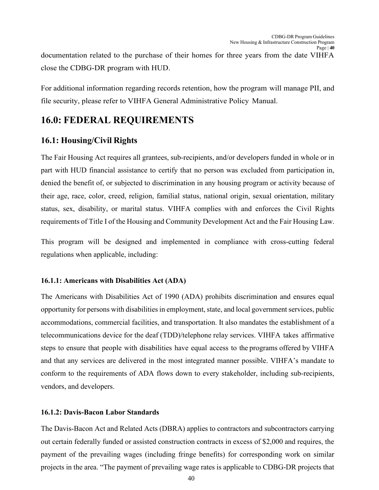documentation related to the purchase of their homes for three years from the date VIHFA close the CDBG-DR program with HUD.

For additional information regarding records retention, how the program will manage PII, and file security, please refer to VIHFA General Administrative Policy Manual.

# <span id="page-39-0"></span>**16.0: FEDERAL REQUIREMENTS**

## <span id="page-39-1"></span>**16.1: Housing/Civil Rights**

The Fair Housing Act requires all grantees, sub-recipients, and/or developers funded in whole or in part with HUD financial assistance to certify that no person was excluded from participation in, denied the benefit of, or subjected to discrimination in any housing program or activity because of their age, race, color, creed, religion, familial status, national origin, sexual orientation, military status, sex, disability, or marital status. VIHFA complies with and enforces the Civil Rights requirements of Title I of the Housing and Community Development Act and the Fair Housing Law.

This program will be designed and implemented in compliance with cross-cutting federal regulations when applicable, including:

### **16.1.1: Americans with Disabilities Act (ADA)**

The Americans with Disabilities Act of 1990 (ADA) prohibits discrimination and ensures equal opportunity for persons with disabilities in employment, state, and local government services, public accommodations, commercial facilities, and transportation. It also mandates the establishment of a telecommunications device for the deaf (TDD)/telephone relay services. VIHFA takes affirmative steps to ensure that people with disabilities have equal access to the programs offered by VIHFA and that any services are delivered in the most integrated manner possible. VIHFA's mandate to conform to the requirements of ADA flows down to every stakeholder, including sub-recipients, vendors, and developers.

### **16.1.2: Davis-Bacon Labor Standards**

The Davis-Bacon Act and Related Acts (DBRA) applies to contractors and subcontractors carrying out certain federally funded or assisted construction contracts in excess of \$2,000 and requires, the payment of the prevailing wages (including fringe benefits) for corresponding work on similar projects in the area. "The payment of prevailing wage rates is applicable to CDBG-DR projects that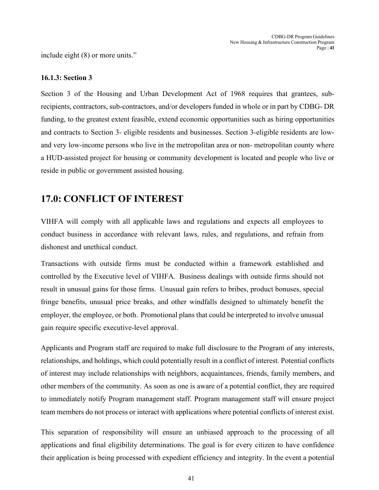include eight (8) or more units."

#### **16.1.3: Section 3**

Section 3 of the Housing and Urban Development Act of 1968 requires that grantees, subrecipients, contractors, sub-contractors, and/or developers funded in whole or in part by CDBG- DR funding, to the greatest extent feasible, extend economic opportunities such as hiring opportunities and contracts to Section 3- eligible residents and businesses. Section 3-eligible residents are lowand very low-income persons who live in the metropolitan area or non- metropolitan county where a HUD-assisted project for housing or community development is located and people who live or reside in public or government assisted housing.

## <span id="page-40-0"></span>**17.0: CONFLICT OF INTEREST**

VIHFA will comply with all applicable laws and regulations and expects all employees to conduct business in accordance with relevant laws, rules, and regulations, and refrain from dishonest and unethical conduct.

Transactions with outside firms must be conducted within a framework established and controlled by the Executive level of VIHFA. Business dealings with outside firms should not result in unusual gains for those firms. Unusual gain refers to bribes, product bonuses, special fringe benefits, unusual price breaks, and other windfalls designed to ultimately benefit the employer, the employee, or both. Promotional plans that could be interpreted to involve unusual gain require specific executive-level approval.

Applicants and Program staff are required to make full disclosure to the Program of any interests, relationships, and holdings, which could potentially result in a conflict of interest. Potential conflicts of interest may include relationships with neighbors, acquaintances, friends, family members, and other members of the community. As soon as one is aware of a potential conflict, they are required to immediately notify Program management staff. Program management staff will ensure project team members do not process or interact with applications where potential conflicts of interest exist.

This separation of responsibility will ensure an unbiased approach to the processing of all applications and final eligibility determinations. The goal is for every citizen to have confidence their application is being processed with expedient efficiency and integrity. In the event a potential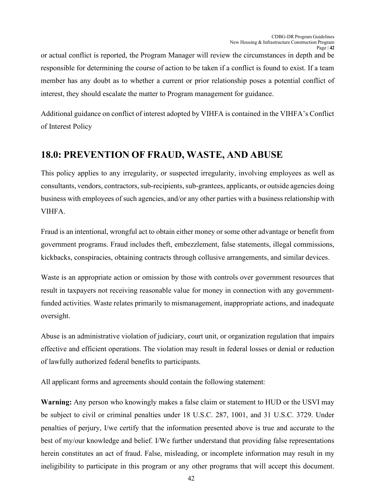or actual conflict is reported, the Program Manager will review the circumstances in depth and be responsible for determining the course of action to be taken if a conflict is found to exist. If a team member has any doubt as to whether a current or prior relationship poses a potential conflict of interest, they should escalate the matter to Program management for guidance.

Additional guidance on conflict of interest adopted by VIHFA is contained in the VIHFA's Conflict of Interest Policy

# <span id="page-41-0"></span>**18.0: PREVENTION OF FRAUD, WASTE, AND ABUSE**

This policy applies to any irregularity, or suspected irregularity, involving employees as well as consultants, vendors, contractors, sub-recipients, sub-grantees, applicants, or outside agencies doing business with employees of such agencies, and/or any other parties with a business relationship with VIHFA.

Fraud is an intentional, wrongful act to obtain either money or some other advantage or benefit from government programs. Fraud includes theft, embezzlement, false statements, illegal commissions, kickbacks, conspiracies, obtaining contracts through collusive arrangements, and similar devices.

Waste is an appropriate action or omission by those with controls over government resources that result in taxpayers not receiving reasonable value for money in connection with any governmentfunded activities. Waste relates primarily to mismanagement, inappropriate actions, and inadequate oversight.

Abuse is an administrative violation of judiciary, court unit, or organization regulation that impairs effective and efficient operations. The violation may result in federal losses or denial or reduction of lawfully authorized federal benefits to participants.

All applicant forms and agreements should contain the following statement:

**Warning:** Any person who knowingly makes a false claim or statement to HUD or the USVI may be subject to civil or criminal penalties under 18 U.S.C. 287, 1001, and 31 U.S.C. 3729. Under penalties of perjury, I/we certify that the information presented above is true and accurate to the best of my/our knowledge and belief. I/We further understand that providing false representations herein constitutes an act of fraud. False, misleading, or incomplete information may result in my ineligibility to participate in this program or any other programs that will accept this document.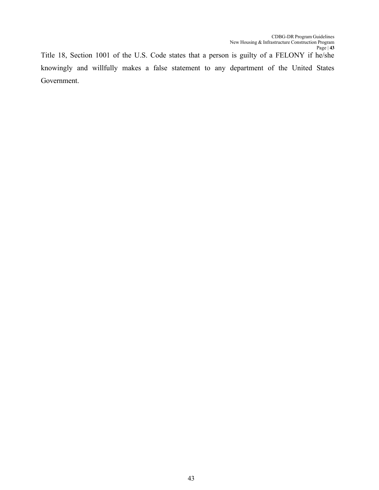Title 18, Section 1001 of the U.S. Code states that a person is guilty of a FELONY if he/she knowingly and willfully makes a false statement to any department of the United States Government.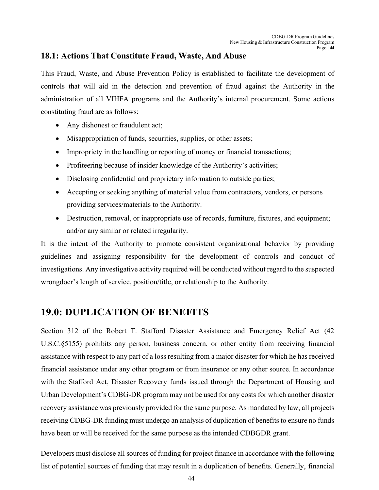### <span id="page-43-0"></span>**18.1: Actions That Constitute Fraud, Waste, And Abuse**

This Fraud, Waste, and Abuse Prevention Policy is established to facilitate the development of controls that will aid in the detection and prevention of fraud against the Authority in the administration of all VIHFA programs and the Authority's internal procurement. Some actions constituting fraud are as follows:

- Any dishonest or fraudulent act;
- Misappropriation of funds, securities, supplies, or other assets;
- Impropriety in the handling or reporting of money or financial transactions;
- Profiteering because of insider knowledge of the Authority's activities;
- Disclosing confidential and proprietary information to outside parties;
- Accepting or seeking anything of material value from contractors, vendors, or persons providing services/materials to the Authority.
- Destruction, removal, or inappropriate use of records, furniture, fixtures, and equipment; and/or any similar or related irregularity.

It is the intent of the Authority to promote consistent organizational behavior by providing guidelines and assigning responsibility for the development of controls and conduct of investigations. Any investigative activity required will be conducted without regard to the suspected wrongdoer's length of service, position/title, or relationship to the Authority.

# <span id="page-43-1"></span>**19.0: DUPLICATION OF BENEFITS**

Section 312 of the Robert T. Stafford Disaster Assistance and Emergency Relief Act (42 U.S.C.§5155) prohibits any person, business concern, or other entity from receiving financial assistance with respect to any part of a loss resulting from a major disaster for which he has received financial assistance under any other program or from insurance or any other source. In accordance with the Stafford Act, Disaster Recovery funds issued through the Department of Housing and Urban Development's CDBG-DR program may not be used for any costs for which another disaster recovery assistance was previously provided for the same purpose. As mandated by law, all projects receiving CDBG-DR funding must undergo an analysis of duplication of benefits to ensure no funds have been or will be received for the same purpose as the intended CDBGDR grant.

Developers must disclose all sources of funding for project finance in accordance with the following list of potential sources of funding that may result in a duplication of benefits. Generally, financial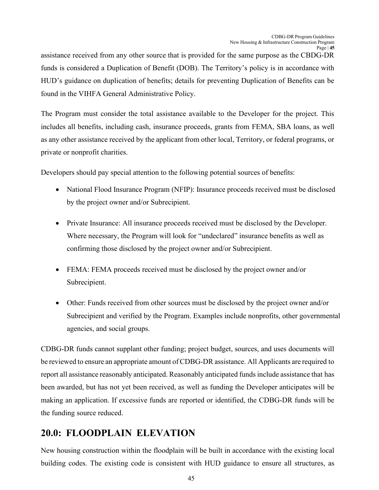assistance received from any other source that is provided for the same purpose as the CBDG-DR funds is considered a Duplication of Benefit (DOB). The Territory's policy is in accordance with HUD's guidance on duplication of benefits; details for preventing Duplication of Benefits can be found in the VIHFA General Administrative Policy.

The Program must consider the total assistance available to the Developer for the project. This includes all benefits, including cash, insurance proceeds, grants from FEMA, SBA loans, as well as any other assistance received by the applicant from other local, Territory, or federal programs, or private or nonprofit charities.

Developers should pay special attention to the following potential sources of benefits:

- National Flood Insurance Program (NFIP): Insurance proceeds received must be disclosed by the project owner and/or Subrecipient.
- Private Insurance: All insurance proceeds received must be disclosed by the Developer. Where necessary, the Program will look for "undeclared" insurance benefits as well as confirming those disclosed by the project owner and/or Subrecipient.
- FEMA: FEMA proceeds received must be disclosed by the project owner and/or Subrecipient.
- Other: Funds received from other sources must be disclosed by the project owner and/or Subrecipient and verified by the Program. Examples include nonprofits, other governmental agencies, and social groups.

CDBG-DR funds cannot supplant other funding; project budget, sources, and uses documents will be reviewed to ensure an appropriate amount of CDBG-DR assistance. All Applicants are required to report all assistance reasonably anticipated. Reasonably anticipated funds include assistance that has been awarded, but has not yet been received, as well as funding the Developer anticipates will be making an application. If excessive funds are reported or identified, the CDBG-DR funds will be the funding source reduced.

# <span id="page-44-0"></span>**20.0: FLOODPLAIN ELEVATION**

New housing construction within the floodplain will be built in accordance with the existing local building codes. The existing code is consistent with HUD guidance to ensure all structures, as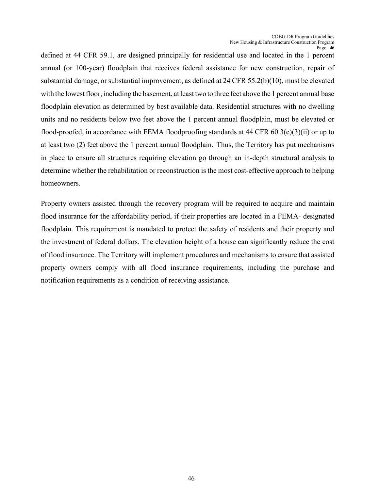defined at 44 CFR 59.1, are designed principally for residential use and located in the 1 percent annual (or 100‐year) floodplain that receives federal assistance for new construction, repair of substantial damage, or substantial improvement, as defined at 24 CFR 55.2(b)(10), must be elevated with the lowest floor, including the basement, at least two to three feet above the 1 percent annual base floodplain elevation as determined by best available data. Residential structures with no dwelling units and no residents below two feet above the 1 percent annual floodplain, must be elevated or flood-proofed, in accordance with FEMA floodproofing standards at 44 CFR 60.3(c)(3)(ii) or up to at least two (2) feet above the 1 percent annual floodplain. Thus, the Territory has put mechanisms in place to ensure all structures requiring elevation go through an in-depth structural analysis to determine whether the rehabilitation or reconstruction is the most cost-effective approach to helping homeowners.

Property owners assisted through the recovery program will be required to acquire and maintain flood insurance for the affordability period, if their properties are located in a FEMA- designated floodplain. This requirement is mandated to protect the safety of residents and their property and the investment of federal dollars. The elevation height of a house can significantly reduce the cost of flood insurance. The Territory will implement procedures and mechanisms to ensure that assisted property owners comply with all flood insurance requirements, including the purchase and notification requirements as a condition of receiving assistance.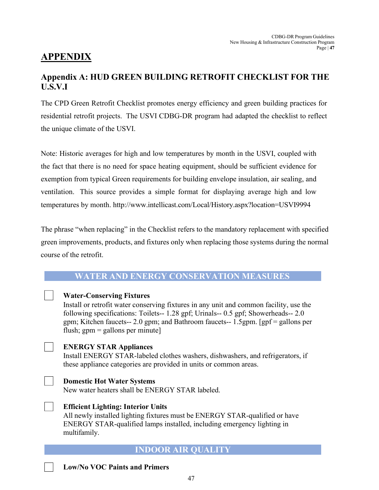# <span id="page-46-0"></span>**APPENDIX**

## <span id="page-46-1"></span>**Appendix A: HUD GREEN BUILDING RETROFIT CHECKLIST FOR THE U.S.V.I**

The CPD Green Retrofit Checklist promotes energy efficiency and green building practices for residential retrofit projects. The USVI CDBG-DR program had adapted the checklist to reflect the unique climate of the USVI.

Note: Historic averages for high and low temperatures by month in the USVI, coupled with the fact that there is no need for space heating equipment, should be sufficient evidence for exemption from typical Green requirements for building envelope insulation, air sealing, and ventilation. This source provides a simple format for displaying average high and low temperatures by month.<http://www.intellicast.com/Local/History.aspx?location=USVI9994>

The phrase "when replacing" in the Checklist refers to the mandatory replacement with specified green improvements, products, and fixtures only when replacing those systems during the normal course of the retrofit.

### **WATER AND ENERGY CONSERVATION MEASURES**



**Efficient Lighting: Interior Units** All newly installed lighting fixtures must be ENERGY STAR-qualified or have ENERGY STAR-qualified lamps installed, including emergency lighting in multifamily.

### **INDOOR AIR QUALITY**

**Low/No VOC Paints and Primers**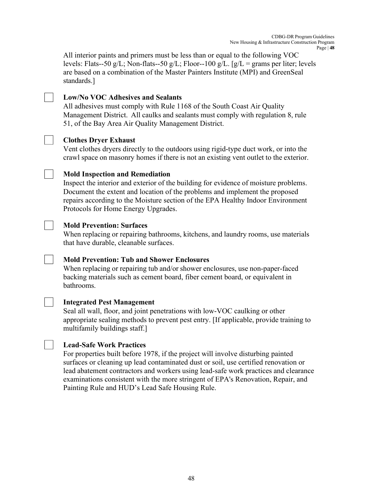All interior paints and primers must be less than or equal to the following VOC levels: Flats--50 g/L; Non-flats--50 g/L; Floor--100 g/L. [g/L = grams per liter; levels are based on a combination of the Master Painters Institute (MPI) and GreenSeal standards.]

#### **Low/No VOC Adhesives and Sealants**

All adhesives must comply with Rule 1168 of the South Coast Air Quality Management District. All caulks and sealants must comply with regulation 8, rule 51, of the Bay Area Air Quality Management District.

#### **Clothes Dryer Exhaust**

Vent clothes dryers directly to the outdoors using rigid-type duct work, or into the crawl space on masonry homes if there is not an existing vent outlet to the exterior.

#### **Mold Inspection and Remediation**

Inspect the interior and exterior of the building for evidence of moisture problems. Document the extent and location of the problems and implement the proposed repairs according to the Moisture section of the EPA Healthy Indoor Environment Protocols for Home Energy Upgrades.

#### **Mold Prevention: Surfaces**

When replacing or repairing bathrooms, kitchens, and laundry rooms, use materials that have durable, cleanable surfaces.

### **Mold Prevention: Tub and Shower Enclosures**

When replacing or repairing tub and/or shower enclosures, use non-paper-faced backing materials such as cement board, fiber cement board, or equivalent in bathrooms.



### **Integrated Pest Management**

Seal all wall, floor, and joint penetrations with low-VOC caulking or other appropriate sealing methods to prevent pest entry. [If applicable, provide training to multifamily buildings staff.]



#### **Lead-Safe Work Practices**

For properties built before 1978, if the project will involve disturbing painted surfaces or cleaning up lead contaminated dust or soil, use certified renovation or lead abatement contractors and workers using lead-safe work practices and clearance examinations consistent with the more stringent of EPA's Renovation, Repair, and Painting Rule and HUD's Lead Safe Housing Rule.